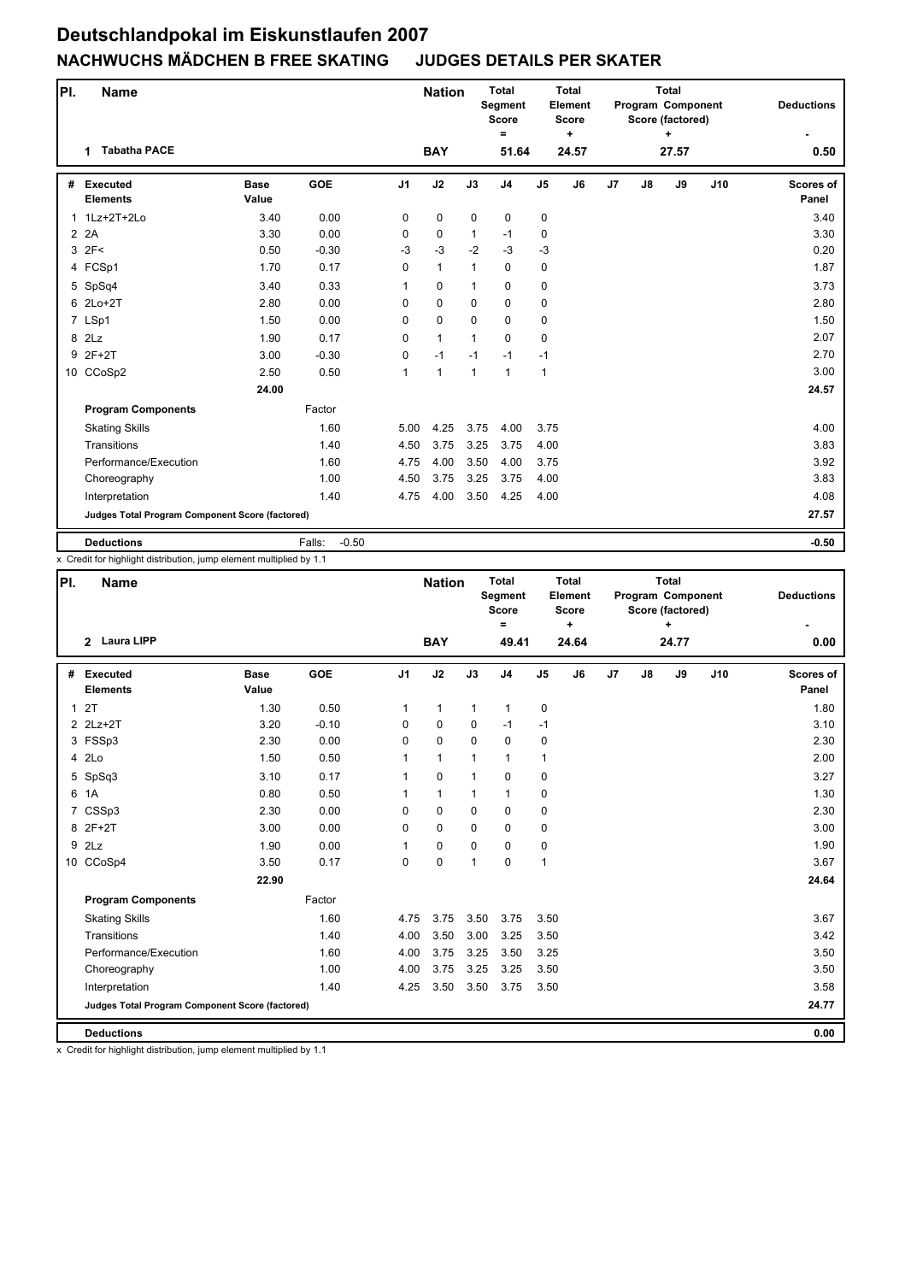| PI.          | <b>Name</b>                                     |                      |                   |                | <b>Nation</b> |              | <b>Total</b><br>Segment<br><b>Score</b><br>= |                | <b>Total</b><br>Element<br><b>Score</b><br>$\ddot{}$ |                |    | <b>Total</b><br>Program Component<br>Score (factored)<br>÷ |     | <b>Deductions</b>  |
|--------------|-------------------------------------------------|----------------------|-------------------|----------------|---------------|--------------|----------------------------------------------|----------------|------------------------------------------------------|----------------|----|------------------------------------------------------------|-----|--------------------|
|              | <b>Tabatha PACE</b><br>$\mathbf 1$              |                      |                   |                | <b>BAY</b>    |              | 51.64                                        |                | 24.57                                                |                |    | 27.57                                                      |     | 0.50               |
| #            | <b>Executed</b><br><b>Elements</b>              | <b>Base</b><br>Value | <b>GOE</b>        | J <sub>1</sub> | J2            | J3           | J <sub>4</sub>                               | J <sub>5</sub> | J6                                                   | J <sub>7</sub> | J8 | J9                                                         | J10 | Scores of<br>Panel |
| $\mathbf{1}$ | 1Lz+2T+2Lo                                      | 3.40                 | 0.00              | 0              | 0             | $\mathbf 0$  | 0                                            | 0              |                                                      |                |    |                                                            |     | 3.40               |
|              | 2 2 A                                           | 3.30                 | 0.00              | $\Omega$       | 0             | $\mathbf{1}$ | $-1$                                         | 0              |                                                      |                |    |                                                            |     | 3.30               |
|              | $3$ $2F<$                                       | 0.50                 | $-0.30$           | $-3$           | $-3$          | $-2$         | $-3$                                         | $-3$           |                                                      |                |    |                                                            |     | 0.20               |
|              | 4 FCSp1                                         | 1.70                 | 0.17              | 0              | $\mathbf{1}$  | $\mathbf{1}$ | $\mathbf 0$                                  | 0              |                                                      |                |    |                                                            |     | 1.87               |
|              | 5 SpSq4                                         | 3.40                 | 0.33              | 1              | $\mathbf 0$   | $\mathbf{1}$ | $\mathbf 0$                                  | 0              |                                                      |                |    |                                                            |     | 3.73               |
|              | 6 2Lo+2T                                        | 2.80                 | 0.00              | $\Omega$       | $\mathbf 0$   | $\Omega$     | 0                                            | 0              |                                                      |                |    |                                                            |     | 2.80               |
|              | 7 LSp1                                          | 1.50                 | 0.00              | 0              | $\mathbf 0$   | $\Omega$     | 0                                            | 0              |                                                      |                |    |                                                            |     | 1.50               |
|              | 8 2Lz                                           | 1.90                 | 0.17              | $\Omega$       | $\mathbf{1}$  | $\mathbf{1}$ | $\Omega$                                     | $\mathbf 0$    |                                                      |                |    |                                                            |     | 2.07               |
| 9            | $2F+2T$                                         | 3.00                 | $-0.30$           | 0              | $-1$          | $-1$         | $-1$                                         | $-1$           |                                                      |                |    |                                                            |     | 2.70               |
|              | 10 CCoSp2                                       | 2.50                 | 0.50              | $\mathbf{1}$   | $\mathbf{1}$  | $\mathbf{1}$ | $\mathbf{1}$                                 | $\mathbf{1}$   |                                                      |                |    |                                                            |     | 3.00               |
|              |                                                 | 24.00                |                   |                |               |              |                                              |                |                                                      |                |    |                                                            |     | 24.57              |
|              | <b>Program Components</b>                       |                      | Factor            |                |               |              |                                              |                |                                                      |                |    |                                                            |     |                    |
|              | <b>Skating Skills</b>                           |                      | 1.60              | 5.00           | 4.25          | 3.75         | 4.00                                         | 3.75           |                                                      |                |    |                                                            |     | 4.00               |
|              | Transitions                                     |                      | 1.40              | 4.50           | 3.75          | 3.25         | 3.75                                         | 4.00           |                                                      |                |    |                                                            |     | 3.83               |
|              | Performance/Execution                           |                      | 1.60              | 4.75           | 4.00          | 3.50         | 4.00                                         | 3.75           |                                                      |                |    |                                                            |     | 3.92               |
|              | Choreography                                    |                      | 1.00              | 4.50           | 3.75          | 3.25         | 3.75                                         | 4.00           |                                                      |                |    |                                                            |     | 3.83               |
|              | Interpretation                                  |                      | 1.40              | 4.75           | 4.00          | 3.50         | 4.25                                         | 4.00           |                                                      |                |    |                                                            |     | 4.08               |
|              | Judges Total Program Component Score (factored) |                      |                   |                |               |              |                                              |                |                                                      |                |    |                                                            |     | 27.57              |
|              | <b>Deductions</b>                               |                      | $-0.50$<br>Falls: |                |               |              |                                              |                |                                                      |                |    |                                                            |     | $-0.50$            |

x Credit for highlight distribution, jump element multiplied by 1.1

| PI.            | <b>Name</b>                                     |                      |            |                | <b>Nation</b> |              | <b>Total</b><br><b>Segment</b><br><b>Score</b><br>$\equiv$ |                | <b>Total</b><br>Element<br><b>Score</b><br>٠ |                |    | <b>Total</b><br>Program Component<br>Score (factored) |     | <b>Deductions</b>         |
|----------------|-------------------------------------------------|----------------------|------------|----------------|---------------|--------------|------------------------------------------------------------|----------------|----------------------------------------------|----------------|----|-------------------------------------------------------|-----|---------------------------|
|                | 2 Laura LIPP                                    |                      |            |                | <b>BAY</b>    |              | 49.41                                                      |                | 24.64                                        |                |    | 24.77                                                 |     | 0.00                      |
| #              | <b>Executed</b><br><b>Elements</b>              | <b>Base</b><br>Value | <b>GOE</b> | J <sub>1</sub> | J2            | J3           | J <sub>4</sub>                                             | J <sub>5</sub> | J6                                           | J <sub>7</sub> | J8 | J9                                                    | J10 | <b>Scores of</b><br>Panel |
| $\mathbf{1}$   | 2T                                              | 1.30                 | 0.50       | 1              | $\mathbf{1}$  | $\mathbf{1}$ | $\mathbf{1}$                                               | 0              |                                              |                |    |                                                       |     | 1.80                      |
|                | 2 2Lz+2T                                        | 3.20                 | $-0.10$    | 0              | $\mathbf 0$   | 0            | $-1$                                                       | $-1$           |                                              |                |    |                                                       |     | 3.10                      |
|                | 3 FSSp3                                         | 2.30                 | 0.00       | 0              | $\mathbf 0$   | 0            | $\mathbf 0$                                                | 0              |                                              |                |    |                                                       |     | 2.30                      |
| $\overline{4}$ | 2Lo                                             | 1.50                 | 0.50       | 1              | $\mathbf{1}$  | 1            | $\mathbf{1}$                                               | 1              |                                              |                |    |                                                       |     | 2.00                      |
|                | 5 SpSq3                                         | 3.10                 | 0.17       | 1              | $\mathbf 0$   | $\mathbf{1}$ | 0                                                          | 0              |                                              |                |    |                                                       |     | 3.27                      |
| 6              | 1A                                              | 0.80                 | 0.50       | 1              | $\mathbf{1}$  | $\mathbf{1}$ | $\mathbf{1}$                                               | 0              |                                              |                |    |                                                       |     | 1.30                      |
|                | 7 CSSp3                                         | 2.30                 | 0.00       | 0              | $\mathbf 0$   | $\Omega$     | $\mathbf 0$                                                | 0              |                                              |                |    |                                                       |     | 2.30                      |
|                | 8 2F+2T                                         | 3.00                 | 0.00       | 0              | $\mathbf 0$   | $\Omega$     | $\mathbf 0$                                                | 0              |                                              |                |    |                                                       |     | 3.00                      |
| 9              | 2Lz                                             | 1.90                 | 0.00       | 1              | 0             | $\Omega$     | 0                                                          | 0              |                                              |                |    |                                                       |     | 1.90                      |
|                | 10 CCoSp4                                       | 3.50                 | 0.17       | $\Omega$       | $\mathbf 0$   | $\mathbf{1}$ | 0                                                          | $\mathbf{1}$   |                                              |                |    |                                                       |     | 3.67                      |
|                |                                                 | 22.90                |            |                |               |              |                                                            |                |                                              |                |    |                                                       |     | 24.64                     |
|                | <b>Program Components</b>                       |                      | Factor     |                |               |              |                                                            |                |                                              |                |    |                                                       |     |                           |
|                | <b>Skating Skills</b>                           |                      | 1.60       | 4.75           | 3.75          | 3.50         | 3.75                                                       | 3.50           |                                              |                |    |                                                       |     | 3.67                      |
|                | Transitions                                     |                      | 1.40       | 4.00           | 3.50          | 3.00         | 3.25                                                       | 3.50           |                                              |                |    |                                                       |     | 3.42                      |
|                | Performance/Execution                           |                      | 1.60       | 4.00           | 3.75          | 3.25         | 3.50                                                       | 3.25           |                                              |                |    |                                                       |     | 3.50                      |
|                | Choreography                                    |                      | 1.00       | 4.00           | 3.75          | 3.25         | 3.25                                                       | 3.50           |                                              |                |    |                                                       |     | 3.50                      |
|                | Interpretation                                  |                      | 1.40       | 4.25           | 3.50          | 3.50         | 3.75                                                       | 3.50           |                                              |                |    |                                                       |     | 3.58                      |
|                | Judges Total Program Component Score (factored) |                      |            |                |               |              |                                                            |                |                                              |                |    |                                                       |     | 24.77                     |
|                | <b>Deductions</b>                               |                      |            |                |               |              |                                                            |                |                                              |                |    |                                                       |     | 0.00                      |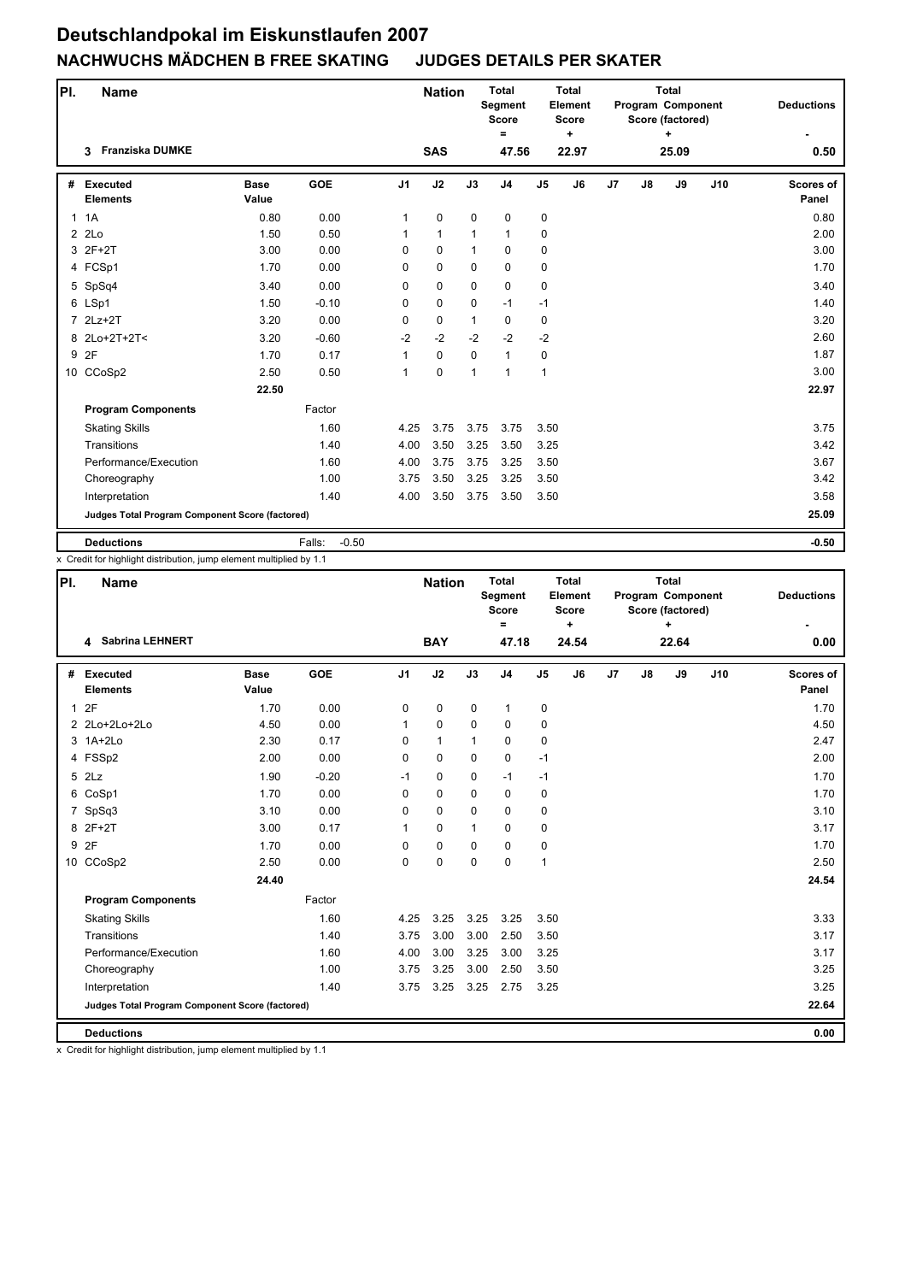| PI.          | <b>Name</b>                                     |                      |                   |                | <b>Nation</b> |              | <b>Total</b><br>Segment<br><b>Score</b><br>$=$ |               | <b>Total</b><br>Element<br><b>Score</b><br>٠ |                |               | <b>Total</b><br>Program Component<br>Score (factored)<br>÷ |     | <b>Deductions</b>  |
|--------------|-------------------------------------------------|----------------------|-------------------|----------------|---------------|--------------|------------------------------------------------|---------------|----------------------------------------------|----------------|---------------|------------------------------------------------------------|-----|--------------------|
|              | <b>Franziska DUMKE</b><br>3                     |                      |                   |                | <b>SAS</b>    |              | 47.56                                          |               | 22.97                                        |                |               | 25.09                                                      |     | 0.50               |
| #            | <b>Executed</b><br><b>Elements</b>              | <b>Base</b><br>Value | <b>GOE</b>        | J <sub>1</sub> | J2            | J3           | J <sub>4</sub>                                 | $\mathsf{J}5$ | J6                                           | J <sub>7</sub> | $\mathsf{J}8$ | J9                                                         | J10 | Scores of<br>Panel |
| $\mathbf{1}$ | 1A                                              | 0.80                 | 0.00              | $\mathbf{1}$   | $\pmb{0}$     | $\mathbf 0$  | 0                                              | 0             |                                              |                |               |                                                            |     | 0.80               |
|              | 22                                              | 1.50                 | 0.50              | $\mathbf{1}$   | $\mathbf{1}$  | $\mathbf{1}$ | $\mathbf{1}$                                   | 0             |                                              |                |               |                                                            |     | 2.00               |
|              | 3 2F+2T                                         | 3.00                 | 0.00              | 0              | $\Omega$      | $\mathbf{1}$ | $\Omega$                                       | $\mathbf 0$   |                                              |                |               |                                                            |     | 3.00               |
|              | 4 FCSp1                                         | 1.70                 | 0.00              | 0              | $\mathbf 0$   | $\mathbf 0$  | $\mathbf 0$                                    | 0             |                                              |                |               |                                                            |     | 1.70               |
|              | 5 SpSq4                                         | 3.40                 | 0.00              | $\Omega$       | $\mathbf 0$   | $\mathbf 0$  | $\mathbf 0$                                    | 0             |                                              |                |               |                                                            |     | 3.40               |
|              | 6 LSp1                                          | 1.50                 | $-0.10$           | 0              | $\pmb{0}$     | $\Omega$     | $-1$                                           | $-1$          |                                              |                |               |                                                            |     | 1.40               |
|              | 7 2Lz+2T                                        | 3.20                 | 0.00              | 0              | $\mathbf 0$   | $\mathbf{1}$ | $\Omega$                                       | 0             |                                              |                |               |                                                            |     | 3.20               |
|              | 8 2Lo+2T+2T<                                    | 3.20                 | $-0.60$           | $-2$           | $-2$          | $-2$         | $-2$                                           | $-2$          |                                              |                |               |                                                            |     | 2.60               |
| 9            | 2F                                              | 1.70                 | 0.17              | 1              | $\mathbf 0$   | $\mathbf 0$  | $\mathbf{1}$                                   | 0             |                                              |                |               |                                                            |     | 1.87               |
|              | 10 CCoSp2                                       | 2.50                 | 0.50              | 1              | 0             | 1            | $\overline{1}$                                 | $\mathbf{1}$  |                                              |                |               |                                                            |     | 3.00               |
|              |                                                 | 22.50                |                   |                |               |              |                                                |               |                                              |                |               |                                                            |     | 22.97              |
|              | <b>Program Components</b>                       |                      | Factor            |                |               |              |                                                |               |                                              |                |               |                                                            |     |                    |
|              | <b>Skating Skills</b>                           |                      | 1.60              | 4.25           | 3.75          | 3.75         | 3.75                                           | 3.50          |                                              |                |               |                                                            |     | 3.75               |
|              | Transitions                                     |                      | 1.40              | 4.00           | 3.50          | 3.25         | 3.50                                           | 3.25          |                                              |                |               |                                                            |     | 3.42               |
|              | Performance/Execution                           |                      | 1.60              | 4.00           | 3.75          | 3.75         | 3.25                                           | 3.50          |                                              |                |               |                                                            |     | 3.67               |
|              | Choreography                                    |                      | 1.00              | 3.75           | 3.50          | 3.25         | 3.25                                           | 3.50          |                                              |                |               |                                                            |     | 3.42               |
|              | Interpretation                                  |                      | 1.40              | 4.00           | 3.50          | 3.75         | 3.50                                           | 3.50          |                                              |                |               |                                                            |     | 3.58               |
|              | Judges Total Program Component Score (factored) |                      |                   |                |               |              |                                                |               |                                              |                |               |                                                            |     | 25.09              |
|              | <b>Deductions</b>                               |                      | $-0.50$<br>Falls: |                |               |              |                                                |               |                                              |                |               |                                                            |     | $-0.50$            |

x Credit for highlight distribution, jump element multiplied by 1.1

| PI. | <b>Name</b>                                     |                      |            |                | <b>Nation</b> |              | <b>Total</b><br>Segment<br><b>Score</b><br>$\equiv$ |                | <b>Total</b><br>Element<br><b>Score</b><br>$\ddot{}$ |                |    | <b>Total</b><br>Program Component<br>Score (factored) |     | <b>Deductions</b>         |
|-----|-------------------------------------------------|----------------------|------------|----------------|---------------|--------------|-----------------------------------------------------|----------------|------------------------------------------------------|----------------|----|-------------------------------------------------------|-----|---------------------------|
|     | 4 Sabrina LEHNERT                               |                      |            |                | <b>BAY</b>    |              | 47.18                                               |                | 24.54                                                |                |    | 22.64                                                 |     | 0.00                      |
| #   | <b>Executed</b><br><b>Elements</b>              | <b>Base</b><br>Value | <b>GOE</b> | J <sub>1</sub> | J2            | J3           | J <sub>4</sub>                                      | J <sub>5</sub> | J6                                                   | J <sub>7</sub> | J8 | J9                                                    | J10 | <b>Scores of</b><br>Panel |
| 1   | 2F                                              | 1.70                 | 0.00       | $\mathbf 0$    | $\mathbf 0$   | $\mathbf 0$  | $\mathbf{1}$                                        | 0              |                                                      |                |    |                                                       |     | 1.70                      |
|     | 2 2Lo+2Lo+2Lo                                   | 4.50                 | 0.00       | $\mathbf{1}$   | $\mathbf 0$   | $\mathbf 0$  | $\mathbf 0$                                         | 0              |                                                      |                |    |                                                       |     | 4.50                      |
|     | 3 1A+2Lo                                        | 2.30                 | 0.17       | $\Omega$       | $\mathbf{1}$  | 1            | $\mathbf 0$                                         | 0              |                                                      |                |    |                                                       |     | 2.47                      |
|     | 4 FSSp2                                         | 2.00                 | 0.00       | 0              | $\pmb{0}$     | $\mathbf 0$  | $\pmb{0}$                                           | $-1$           |                                                      |                |    |                                                       |     | 2.00                      |
|     | 5 2Lz                                           | 1.90                 | $-0.20$    | $-1$           | 0             | 0            | $-1$                                                | $-1$           |                                                      |                |    |                                                       |     | 1.70                      |
|     | 6 CoSp1                                         | 1.70                 | 0.00       | 0              | $\mathbf 0$   | $\mathbf 0$  | $\mathbf 0$                                         | 0              |                                                      |                |    |                                                       |     | 1.70                      |
|     | 7 SpSq3                                         | 3.10                 | 0.00       | 0              | $\mathbf 0$   | $\mathbf 0$  | $\mathbf 0$                                         | 0              |                                                      |                |    |                                                       |     | 3.10                      |
|     | 8 2F+2T                                         | 3.00                 | 0.17       | 1              | 0             | $\mathbf{1}$ | $\Omega$                                            | 0              |                                                      |                |    |                                                       |     | 3.17                      |
|     | 9 2F                                            | 1.70                 | 0.00       | 0              | $\pmb{0}$     | $\mathbf 0$  | 0                                                   | 0              |                                                      |                |    |                                                       |     | 1.70                      |
|     | 10 CCoSp2                                       | 2.50                 | 0.00       | $\Omega$       | $\mathbf 0$   | $\Omega$     | $\mathbf 0$                                         | $\mathbf{1}$   |                                                      |                |    |                                                       |     | 2.50                      |
|     |                                                 | 24.40                |            |                |               |              |                                                     |                |                                                      |                |    |                                                       |     | 24.54                     |
|     | <b>Program Components</b>                       |                      | Factor     |                |               |              |                                                     |                |                                                      |                |    |                                                       |     |                           |
|     | <b>Skating Skills</b>                           |                      | 1.60       | 4.25           | 3.25          | 3.25         | 3.25                                                | 3.50           |                                                      |                |    |                                                       |     | 3.33                      |
|     | Transitions                                     |                      | 1.40       | 3.75           | 3.00          | 3.00         | 2.50                                                | 3.50           |                                                      |                |    |                                                       |     | 3.17                      |
|     | Performance/Execution                           |                      | 1.60       | 4.00           | 3.00          | 3.25         | 3.00                                                | 3.25           |                                                      |                |    |                                                       |     | 3.17                      |
|     | Choreography                                    |                      | 1.00       | 3.75           | 3.25          | 3.00         | 2.50                                                | 3.50           |                                                      |                |    |                                                       |     | 3.25                      |
|     | Interpretation                                  |                      | 1.40       | 3.75           | 3.25          | 3.25         | 2.75                                                | 3.25           |                                                      |                |    |                                                       |     | 3.25                      |
|     | Judges Total Program Component Score (factored) |                      |            |                |               |              |                                                     |                |                                                      |                |    |                                                       |     | 22.64                     |
|     | <b>Deductions</b>                               |                      |            |                |               |              |                                                     |                |                                                      |                |    |                                                       |     | 0.00                      |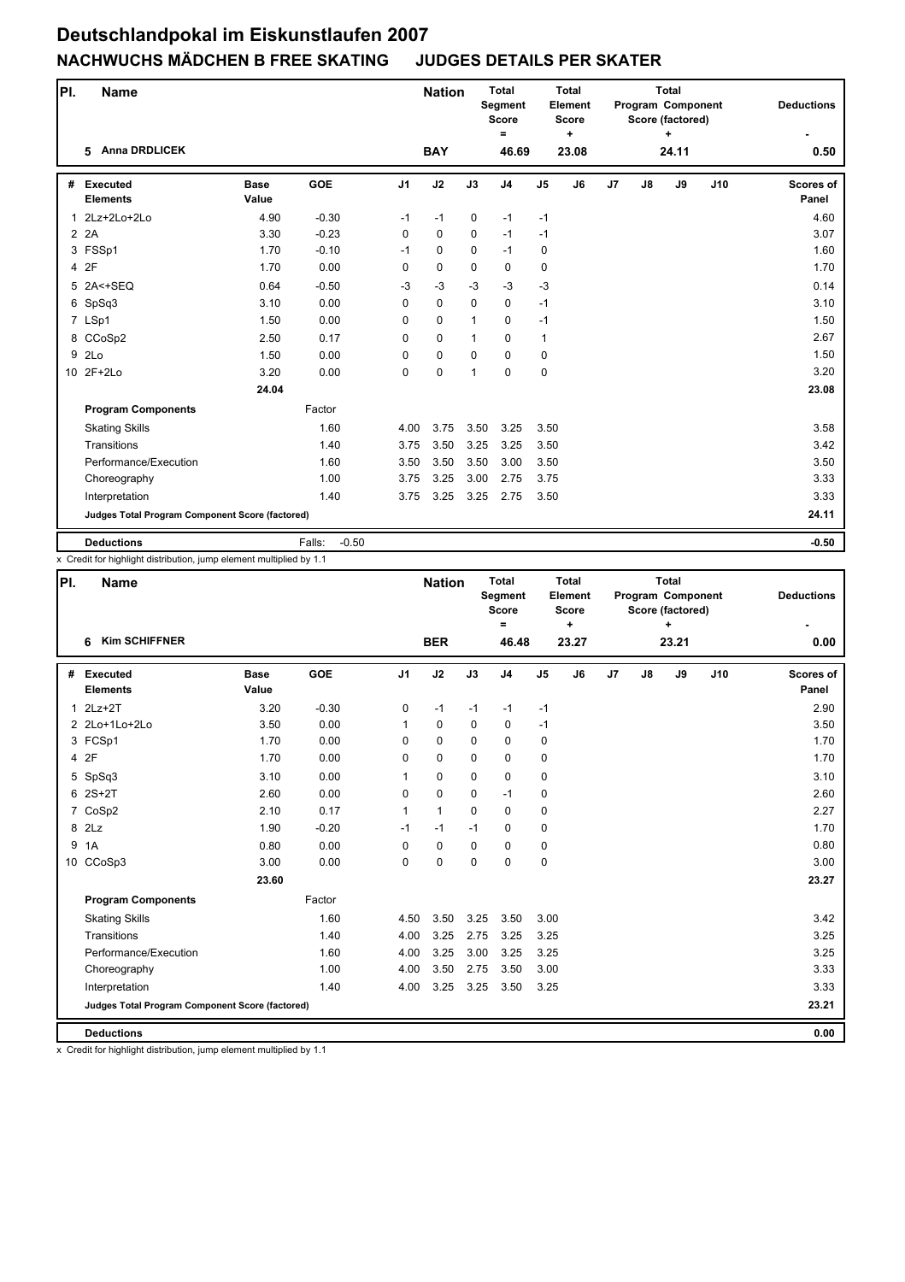| PI. | <b>Name</b>                                     |                      |                   |                | <b>Nation</b> |              | <b>Total</b><br>Segment<br><b>Score</b><br>$=$ |                | <b>Total</b><br>Element<br><b>Score</b><br>$\ddot{}$ |                |    | <b>Total</b><br>Program Component<br>Score (factored)<br>÷ |     | <b>Deductions</b>         |
|-----|-------------------------------------------------|----------------------|-------------------|----------------|---------------|--------------|------------------------------------------------|----------------|------------------------------------------------------|----------------|----|------------------------------------------------------------|-----|---------------------------|
|     | <b>Anna DRDLICEK</b><br>5.                      |                      |                   |                | <b>BAY</b>    |              | 46.69                                          |                | 23.08                                                |                |    | 24.11                                                      |     | 0.50                      |
| #   | <b>Executed</b><br><b>Elements</b>              | <b>Base</b><br>Value | <b>GOE</b>        | J <sub>1</sub> | J2            | J3           | J <sub>4</sub>                                 | J <sub>5</sub> | J6                                                   | J <sub>7</sub> | J8 | J9                                                         | J10 | <b>Scores of</b><br>Panel |
| 1   | 2Lz+2Lo+2Lo                                     | 4.90                 | $-0.30$           | $-1$           | $-1$          | 0            | $-1$                                           | $-1$           |                                                      |                |    |                                                            |     | 4.60                      |
|     | 2 2A                                            | 3.30                 | $-0.23$           | $\Omega$       | $\mathbf 0$   | 0            | $-1$                                           | $-1$           |                                                      |                |    |                                                            |     | 3.07                      |
|     | 3 FSSp1                                         | 1.70                 | $-0.10$           | $-1$           | $\Omega$      | $\Omega$     | $-1$                                           | $\mathbf 0$    |                                                      |                |    |                                                            |     | 1.60                      |
|     | 4 2F                                            | 1.70                 | 0.00              | 0              | $\mathbf 0$   | $\Omega$     | $\mathbf 0$                                    | 0              |                                                      |                |    |                                                            |     | 1.70                      |
|     | 5 2A<+SEQ                                       | 0.64                 | $-0.50$           | $-3$           | $-3$          | $-3$         | $-3$                                           | $-3$           |                                                      |                |    |                                                            |     | 0.14                      |
|     | 6 SpSq3                                         | 3.10                 | 0.00              | 0              | $\mathbf 0$   | $\Omega$     | $\mathbf 0$                                    | $-1$           |                                                      |                |    |                                                            |     | 3.10                      |
|     | 7 LSp1                                          | 1.50                 | 0.00              | $\Omega$       | $\mathbf 0$   | $\mathbf{1}$ | $\Omega$                                       | $-1$           |                                                      |                |    |                                                            |     | 1.50                      |
|     | 8 CCoSp2                                        | 2.50                 | 0.17              | 0              | $\mathbf 0$   | $\mathbf{1}$ | $\mathbf 0$                                    | $\mathbf{1}$   |                                                      |                |    |                                                            |     | 2.67                      |
| 9   | 2Lo                                             | 1.50                 | 0.00              | $\Omega$       | $\mathbf 0$   | $\Omega$     | $\mathbf 0$                                    | $\mathbf 0$    |                                                      |                |    |                                                            |     | 1.50                      |
|     | 10 2F+2Lo                                       | 3.20                 | 0.00              | 0              | 0             | 1            | $\mathbf 0$                                    | $\mathbf 0$    |                                                      |                |    |                                                            |     | 3.20                      |
|     |                                                 | 24.04                |                   |                |               |              |                                                |                |                                                      |                |    |                                                            |     | 23.08                     |
|     | <b>Program Components</b>                       |                      | Factor            |                |               |              |                                                |                |                                                      |                |    |                                                            |     |                           |
|     | <b>Skating Skills</b>                           |                      | 1.60              | 4.00           | 3.75          | 3.50         | 3.25                                           | 3.50           |                                                      |                |    |                                                            |     | 3.58                      |
|     | Transitions                                     |                      | 1.40              | 3.75           | 3.50          | 3.25         | 3.25                                           | 3.50           |                                                      |                |    |                                                            |     | 3.42                      |
|     | Performance/Execution                           |                      | 1.60              | 3.50           | 3.50          | 3.50         | 3.00                                           | 3.50           |                                                      |                |    |                                                            |     | 3.50                      |
|     | Choreography                                    |                      | 1.00              | 3.75           | 3.25          | 3.00         | 2.75                                           | 3.75           |                                                      |                |    |                                                            |     | 3.33                      |
|     | Interpretation                                  |                      | 1.40              | 3.75           | 3.25          | 3.25         | 2.75                                           | 3.50           |                                                      |                |    |                                                            |     | 3.33                      |
|     | Judges Total Program Component Score (factored) |                      |                   |                |               |              |                                                |                |                                                      |                |    |                                                            |     | 24.11                     |
|     | <b>Deductions</b>                               |                      | $-0.50$<br>Falls: |                |               |              |                                                |                |                                                      |                |    |                                                            |     | $-0.50$                   |

x Credit for highlight distribution, jump element multiplied by 1.1

| PI. | <b>Name</b>                                     |                      |            |                | <b>Nation</b> |             | <b>Total</b><br>Segment<br><b>Score</b><br>$\equiv$ |                | <b>Total</b><br>Element<br><b>Score</b><br>$\ddot{}$ |                |    | <b>Total</b><br>Program Component<br>Score (factored) |     | <b>Deductions</b>         |
|-----|-------------------------------------------------|----------------------|------------|----------------|---------------|-------------|-----------------------------------------------------|----------------|------------------------------------------------------|----------------|----|-------------------------------------------------------|-----|---------------------------|
|     | <b>Kim SCHIFFNER</b><br>6                       |                      |            |                | <b>BER</b>    |             | 46.48                                               |                | 23.27                                                |                |    | 23.21                                                 |     | 0.00                      |
| #   | <b>Executed</b><br><b>Elements</b>              | <b>Base</b><br>Value | <b>GOE</b> | J <sub>1</sub> | J2            | J3          | J <sub>4</sub>                                      | J <sub>5</sub> | J6                                                   | J <sub>7</sub> | J8 | J9                                                    | J10 | <b>Scores of</b><br>Panel |
|     | $1$ $2Lz+2T$                                    | 3.20                 | $-0.30$    | 0              | $-1$          | $-1$        | $-1$                                                | $-1$           |                                                      |                |    |                                                       |     | 2.90                      |
|     | 2 2Lo+1Lo+2Lo                                   | 3.50                 | 0.00       | $\mathbf{1}$   | 0             | $\mathbf 0$ | 0                                                   | $-1$           |                                                      |                |    |                                                       |     | 3.50                      |
|     | 3 FCSp1                                         | 1.70                 | 0.00       | $\Omega$       | $\Omega$      | $\Omega$    | $\mathbf 0$                                         | 0              |                                                      |                |    |                                                       |     | 1.70                      |
|     | 4 2F                                            | 1.70                 | 0.00       | 0              | 0             | 0           | 0                                                   | 0              |                                                      |                |    |                                                       |     | 1.70                      |
|     | 5 SpSq3                                         | 3.10                 | 0.00       | $\mathbf{1}$   | 0             | $\mathbf 0$ | 0                                                   | 0              |                                                      |                |    |                                                       |     | 3.10                      |
|     | $62S+2T$                                        | 2.60                 | 0.00       | 0              | 0             | 0           | $-1$                                                | 0              |                                                      |                |    |                                                       |     | 2.60                      |
|     | 7 CoSp2                                         | 2.10                 | 0.17       | $\mathbf{1}$   | $\mathbf{1}$  | $\Omega$    | $\mathbf 0$                                         | 0              |                                                      |                |    |                                                       |     | 2.27                      |
|     | 8 2Lz                                           | 1.90                 | $-0.20$    | $-1$           | $-1$          | $-1$        | $\Omega$                                            | 0              |                                                      |                |    |                                                       |     | 1.70                      |
| 9   | 1A                                              | 0.80                 | 0.00       | 0              | 0             | $\mathbf 0$ | $\mathbf 0$                                         | 0              |                                                      |                |    |                                                       |     | 0.80                      |
|     | 10 CCoSp3                                       | 3.00                 | 0.00       | 0              | 0             | 0           | $\mathbf 0$                                         | 0              |                                                      |                |    |                                                       |     | 3.00                      |
|     |                                                 | 23.60                |            |                |               |             |                                                     |                |                                                      |                |    |                                                       |     | 23.27                     |
|     | <b>Program Components</b>                       |                      | Factor     |                |               |             |                                                     |                |                                                      |                |    |                                                       |     |                           |
|     | <b>Skating Skills</b>                           |                      | 1.60       | 4.50           | 3.50          | 3.25        | 3.50                                                | 3.00           |                                                      |                |    |                                                       |     | 3.42                      |
|     | Transitions                                     |                      | 1.40       | 4.00           | 3.25          | 2.75        | 3.25                                                | 3.25           |                                                      |                |    |                                                       |     | 3.25                      |
|     | Performance/Execution                           |                      | 1.60       | 4.00           | 3.25          | 3.00        | 3.25                                                | 3.25           |                                                      |                |    |                                                       |     | 3.25                      |
|     | Choreography                                    |                      | 1.00       | 4.00           | 3.50          | 2.75        | 3.50                                                | 3.00           |                                                      |                |    |                                                       |     | 3.33                      |
|     | Interpretation                                  |                      | 1.40       | 4.00           | 3.25          | 3.25        | 3.50                                                | 3.25           |                                                      |                |    |                                                       |     | 3.33                      |
|     | Judges Total Program Component Score (factored) |                      |            |                |               |             |                                                     |                |                                                      |                |    |                                                       |     | 23.21                     |
|     | <b>Deductions</b>                               |                      |            |                |               |             |                                                     |                |                                                      |                |    |                                                       |     | 0.00                      |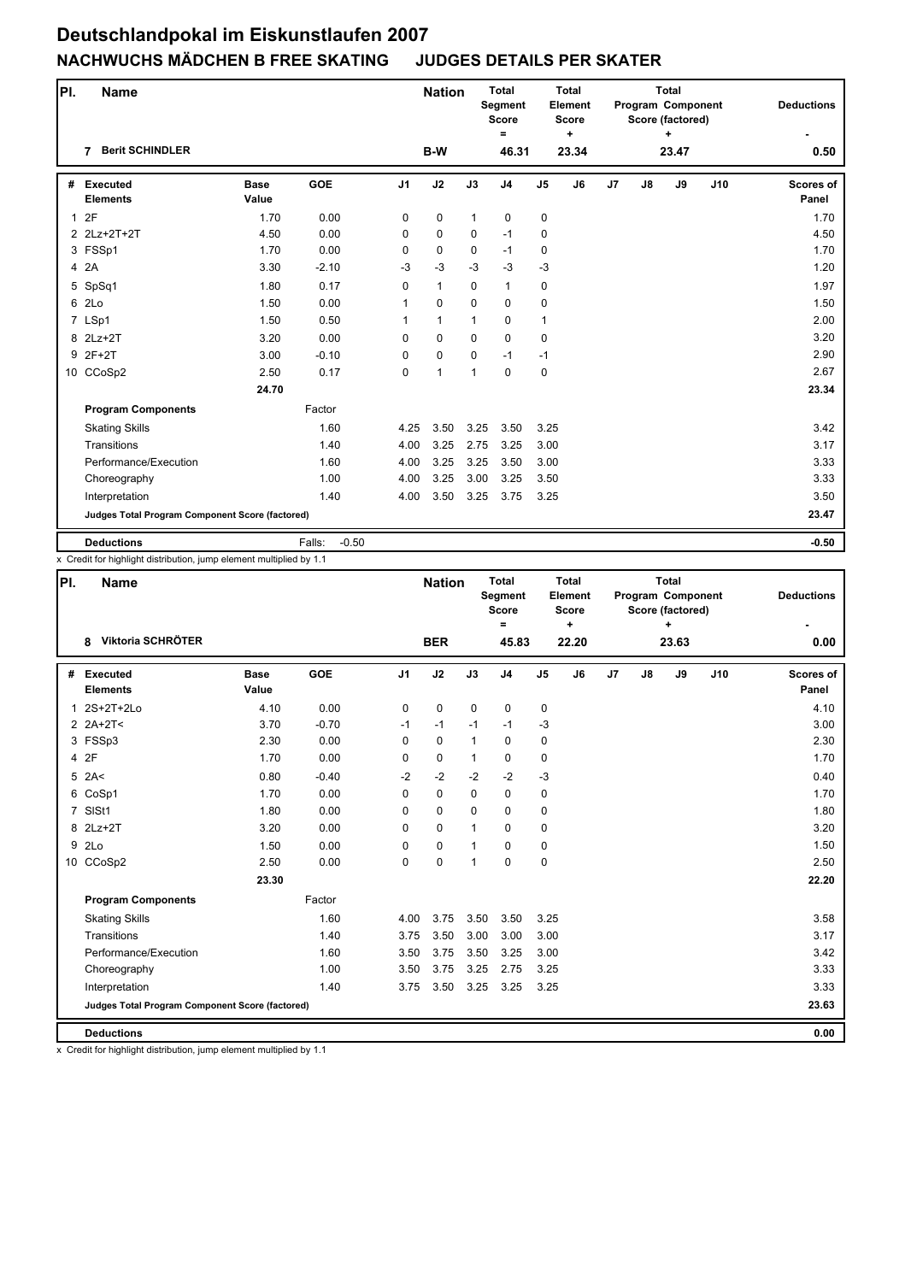| PI. | <b>Name</b>                                     |                      |                   |                | <b>Nation</b> |              | <b>Total</b><br>Segment<br><b>Score</b><br>$=$ |                | <b>Total</b><br>Element<br><b>Score</b><br>$\ddot{}$ |                |    | <b>Total</b><br>Program Component<br>Score (factored)<br>÷ |     | <b>Deductions</b>         |
|-----|-------------------------------------------------|----------------------|-------------------|----------------|---------------|--------------|------------------------------------------------|----------------|------------------------------------------------------|----------------|----|------------------------------------------------------------|-----|---------------------------|
|     | <b>Berit SCHINDLER</b><br>7                     |                      |                   |                | B-W           |              | 46.31                                          |                | 23.34                                                |                |    | 23.47                                                      |     | 0.50                      |
| #   | <b>Executed</b><br><b>Elements</b>              | <b>Base</b><br>Value | <b>GOE</b>        | J <sub>1</sub> | J2            | J3           | J <sub>4</sub>                                 | J <sub>5</sub> | J6                                                   | J <sub>7</sub> | J8 | J9                                                         | J10 | <b>Scores of</b><br>Panel |
|     | 12F                                             | 1.70                 | 0.00              | 0              | 0             | $\mathbf{1}$ | 0                                              | 0              |                                                      |                |    |                                                            |     | 1.70                      |
|     | 2 2Lz+2T+2T                                     | 4.50                 | 0.00              | $\Omega$       | $\mathbf 0$   | $\Omega$     | $-1$                                           | 0              |                                                      |                |    |                                                            |     | 4.50                      |
|     | 3 FSSp1                                         | 1.70                 | 0.00              | 0              | 0             | $\Omega$     | $-1$                                           | $\mathbf 0$    |                                                      |                |    |                                                            |     | 1.70                      |
|     | 4 2A                                            | 3.30                 | $-2.10$           | $-3$           | $-3$          | $-3$         | $-3$                                           | $-3$           |                                                      |                |    |                                                            |     | 1.20                      |
| 5   | SpSq1                                           | 1.80                 | 0.17              | $\Omega$       | $\mathbf{1}$  | $\mathbf 0$  | $\mathbf{1}$                                   | 0              |                                                      |                |    |                                                            |     | 1.97                      |
| 6   | 2Lo                                             | 1.50                 | 0.00              | 1              | $\mathbf 0$   | $\Omega$     | $\mathbf 0$                                    | 0              |                                                      |                |    |                                                            |     | 1.50                      |
|     | 7 LSp1                                          | 1.50                 | 0.50              | 1              | $\mathbf{1}$  | $\mathbf{1}$ | $\mathbf 0$                                    | $\mathbf{1}$   |                                                      |                |    |                                                            |     | 2.00                      |
|     | 8 2Lz+2T                                        | 3.20                 | 0.00              | 0              | $\mathbf 0$   | $\mathbf 0$  | $\mathbf 0$                                    | $\mathbf 0$    |                                                      |                |    |                                                            |     | 3.20                      |
|     | 9 2F+2T                                         | 3.00                 | $-0.10$           | $\Omega$       | $\mathbf 0$   | $\Omega$     | $-1$                                           | $-1$           |                                                      |                |    |                                                            |     | 2.90                      |
|     | 10 CCoSp2                                       | 2.50                 | 0.17              | 0              | $\mathbf{1}$  | 1            | $\Omega$                                       | 0              |                                                      |                |    |                                                            |     | 2.67                      |
|     |                                                 | 24.70                |                   |                |               |              |                                                |                |                                                      |                |    |                                                            |     | 23.34                     |
|     | <b>Program Components</b>                       |                      | Factor            |                |               |              |                                                |                |                                                      |                |    |                                                            |     |                           |
|     | <b>Skating Skills</b>                           |                      | 1.60              | 4.25           | 3.50          | 3.25         | 3.50                                           | 3.25           |                                                      |                |    |                                                            |     | 3.42                      |
|     | Transitions                                     |                      | 1.40              | 4.00           | 3.25          | 2.75         | 3.25                                           | 3.00           |                                                      |                |    |                                                            |     | 3.17                      |
|     | Performance/Execution                           |                      | 1.60              | 4.00           | 3.25          | 3.25         | 3.50                                           | 3.00           |                                                      |                |    |                                                            |     | 3.33                      |
|     | Choreography                                    |                      | 1.00              | 4.00           | 3.25          | 3.00         | 3.25                                           | 3.50           |                                                      |                |    |                                                            |     | 3.33                      |
|     | Interpretation                                  |                      | 1.40              | 4.00           | 3.50          | 3.25         | 3.75                                           | 3.25           |                                                      |                |    |                                                            |     | 3.50                      |
|     | Judges Total Program Component Score (factored) |                      |                   |                |               |              |                                                |                |                                                      |                |    |                                                            |     | 23.47                     |
|     | <b>Deductions</b>                               |                      | $-0.50$<br>Falls: |                |               |              |                                                |                |                                                      |                |    |                                                            |     | $-0.50$                   |

x Credit for highlight distribution, jump element multiplied by 1.1

| PI. | <b>Name</b>                                     |                      |            |                | <b>Nation</b> |              | <b>Total</b><br><b>Segment</b><br><b>Score</b><br>$=$ |                | Total<br>Element<br><b>Score</b><br>÷ |                |    | <b>Total</b><br>Program Component<br>Score (factored)<br>÷ |     | <b>Deductions</b>         |
|-----|-------------------------------------------------|----------------------|------------|----------------|---------------|--------------|-------------------------------------------------------|----------------|---------------------------------------|----------------|----|------------------------------------------------------------|-----|---------------------------|
|     | Viktoria SCHRÖTER<br>8                          |                      |            |                | <b>BER</b>    |              | 45.83                                                 |                | 22.20                                 |                |    | 23.63                                                      |     | 0.00                      |
| #   | Executed<br><b>Elements</b>                     | <b>Base</b><br>Value | <b>GOE</b> | J <sub>1</sub> | J2            | J3           | J <sub>4</sub>                                        | J <sub>5</sub> | J6                                    | J <sub>7</sub> | J8 | J9                                                         | J10 | <b>Scores of</b><br>Panel |
|     | 1 2S+2T+2Lo                                     | 4.10                 | 0.00       | 0              | 0             | $\mathbf 0$  | 0                                                     | 0              |                                       |                |    |                                                            |     | 4.10                      |
|     | $2$ 2A+2T<                                      | 3.70                 | $-0.70$    | $-1$           | $-1$          | $-1$         | $-1$                                                  | $-3$           |                                       |                |    |                                                            |     | 3.00                      |
|     | 3 FSSp3                                         | 2.30                 | 0.00       | $\Omega$       | 0             | $\mathbf{1}$ | 0                                                     | 0              |                                       |                |    |                                                            |     | 2.30                      |
|     | 4 2F                                            | 1.70                 | 0.00       | 0              | 0             | $\mathbf{1}$ | 0                                                     | 0              |                                       |                |    |                                                            |     | 1.70                      |
|     | $5$ 2A<                                         | 0.80                 | $-0.40$    | $-2$           | $-2$          | $-2$         | $-2$                                                  | $-3$           |                                       |                |    |                                                            |     | 0.40                      |
|     | 6 CoSp1                                         | 1.70                 | 0.00       | $\Omega$       | 0             | $\Omega$     | 0                                                     | 0              |                                       |                |    |                                                            |     | 1.70                      |
|     | 7 SISt1                                         | 1.80                 | 0.00       | 0              | 0             | $\Omega$     | 0                                                     | 0              |                                       |                |    |                                                            |     | 1.80                      |
|     | 8 2Lz+2T                                        | 3.20                 | 0.00       | 0              | 0             | 1            | 0                                                     | 0              |                                       |                |    |                                                            |     | 3.20                      |
|     | 9 2Lo                                           | 1.50                 | 0.00       | 0              | 0             | $\mathbf{1}$ | 0                                                     | 0              |                                       |                |    |                                                            |     | 1.50                      |
|     | 10 CCoSp2                                       | 2.50                 | 0.00       | 0              | 0             | $\mathbf{1}$ | $\mathbf 0$                                           | 0              |                                       |                |    |                                                            |     | 2.50                      |
|     |                                                 | 23.30                |            |                |               |              |                                                       |                |                                       |                |    |                                                            |     | 22.20                     |
|     | <b>Program Components</b>                       |                      | Factor     |                |               |              |                                                       |                |                                       |                |    |                                                            |     |                           |
|     | <b>Skating Skills</b>                           |                      | 1.60       | 4.00           | 3.75          | 3.50         | 3.50                                                  | 3.25           |                                       |                |    |                                                            |     | 3.58                      |
|     | Transitions                                     |                      | 1.40       | 3.75           | 3.50          | 3.00         | 3.00                                                  | 3.00           |                                       |                |    |                                                            |     | 3.17                      |
|     | Performance/Execution                           |                      | 1.60       | 3.50           | 3.75          | 3.50         | 3.25                                                  | 3.00           |                                       |                |    |                                                            |     | 3.42                      |
|     | Choreography                                    |                      | 1.00       | 3.50           | 3.75          | 3.25         | 2.75                                                  | 3.25           |                                       |                |    |                                                            |     | 3.33                      |
|     | Interpretation                                  |                      | 1.40       | 3.75           | 3.50          | 3.25         | 3.25                                                  | 3.25           |                                       |                |    |                                                            |     | 3.33                      |
|     | Judges Total Program Component Score (factored) |                      |            |                |               |              |                                                       |                |                                       |                |    |                                                            |     | 23.63                     |
|     | <b>Deductions</b>                               |                      |            |                |               |              |                                                       |                |                                       |                |    |                                                            |     | 0.00                      |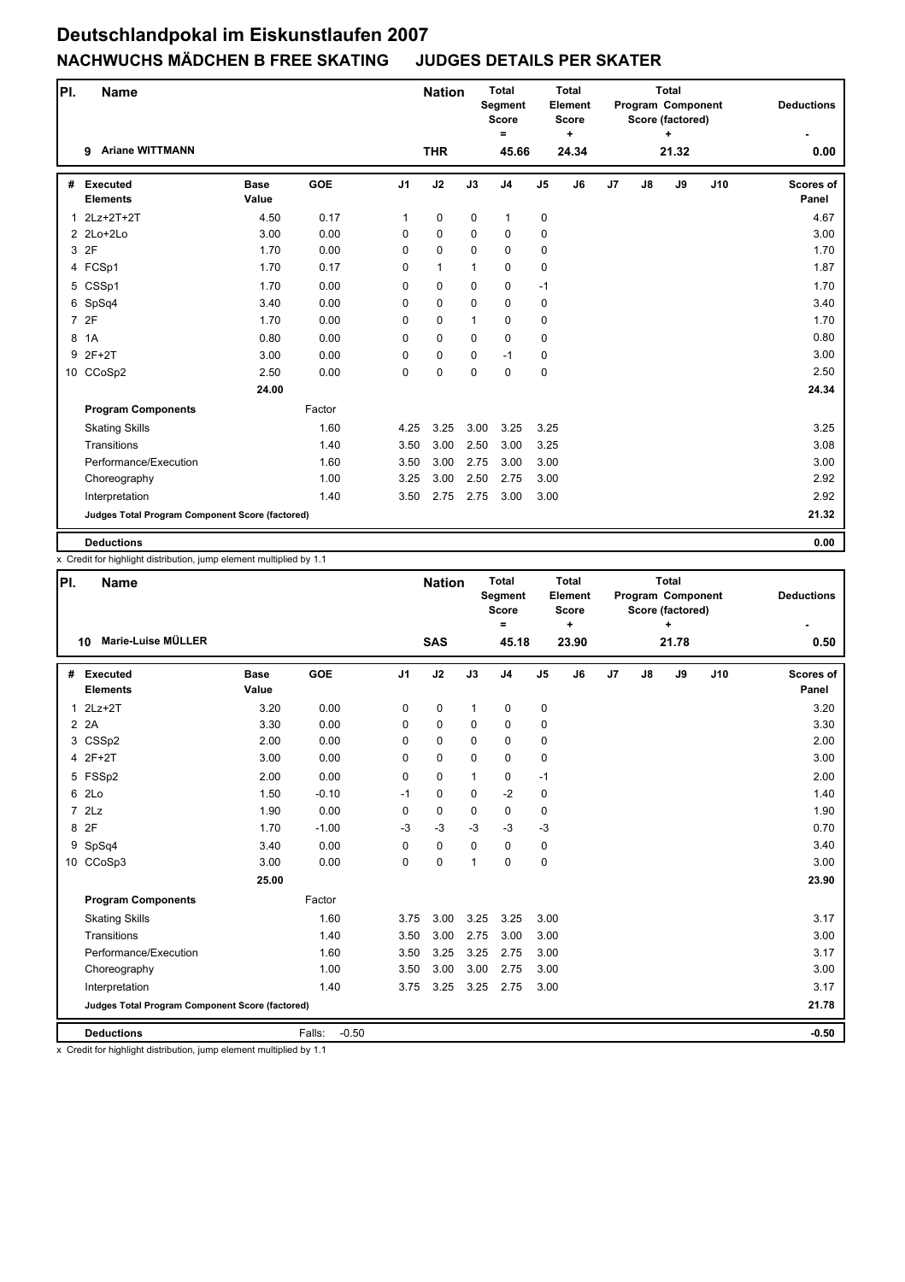| PI.          | <b>Name</b>                                     |                      |            |                | <b>Nation</b> |              | <b>Total</b><br><b>Segment</b><br><b>Score</b><br>$=$ |                | <b>Total</b><br>Element<br>Score<br>$\ddot{}$ |                |    | <b>Total</b><br>Program Component<br>Score (factored) |     | <b>Deductions</b>  |
|--------------|-------------------------------------------------|----------------------|------------|----------------|---------------|--------------|-------------------------------------------------------|----------------|-----------------------------------------------|----------------|----|-------------------------------------------------------|-----|--------------------|
|              | <b>Ariane WITTMANN</b><br>9                     |                      |            |                | <b>THR</b>    |              | 45.66                                                 |                | 24.34                                         |                |    | 21.32                                                 |     | 0.00               |
| #            | <b>Executed</b><br><b>Elements</b>              | <b>Base</b><br>Value | <b>GOE</b> | J <sub>1</sub> | J2            | J3           | J <sub>4</sub>                                        | J <sub>5</sub> | J6                                            | J <sub>7</sub> | J8 | J9                                                    | J10 | Scores of<br>Panel |
| $\mathbf{1}$ | 2Lz+2T+2T                                       | 4.50                 | 0.17       | $\mathbf{1}$   | 0             | $\mathbf 0$  | $\mathbf{1}$                                          | 0              |                                               |                |    |                                                       |     | 4.67               |
|              | 2 2Lo+2Lo                                       | 3.00                 | 0.00       | 0              | $\mathbf 0$   | $\mathbf 0$  | 0                                                     | 0              |                                               |                |    |                                                       |     | 3.00               |
|              | 3 2F                                            | 1.70                 | 0.00       | 0              | 0             | $\Omega$     | 0                                                     | 0              |                                               |                |    |                                                       |     | 1.70               |
|              | 4 FCSp1                                         | 1.70                 | 0.17       | 0              | $\mathbf{1}$  | $\mathbf{1}$ | 0                                                     | 0              |                                               |                |    |                                                       |     | 1.87               |
|              | 5 CSSp1                                         | 1.70                 | 0.00       | 0              | $\pmb{0}$     | $\mathbf 0$  | 0                                                     | $-1$           |                                               |                |    |                                                       |     | 1.70               |
| 6            | SpSq4                                           | 3.40                 | 0.00       | 0              | $\pmb{0}$     | $\mathbf 0$  | 0                                                     | 0              |                                               |                |    |                                                       |     | 3.40               |
|              | 7 2F                                            | 1.70                 | 0.00       | 0              | $\mathbf 0$   | 1            | 0                                                     | 0              |                                               |                |    |                                                       |     | 1.70               |
| 8            | 1A                                              | 0.80                 | 0.00       | 0              | $\mathbf 0$   | $\Omega$     | 0                                                     | 0              |                                               |                |    |                                                       |     | 0.80               |
| 9            | $2F+2T$                                         | 3.00                 | 0.00       | 0              | $\pmb{0}$     | $\mathbf 0$  | $-1$                                                  | 0              |                                               |                |    |                                                       |     | 3.00               |
|              | 10 CCoSp2                                       | 2.50                 | 0.00       | $\Omega$       | $\mathbf 0$   | $\Omega$     | $\mathbf 0$                                           | 0              |                                               |                |    |                                                       |     | 2.50               |
|              |                                                 | 24.00                |            |                |               |              |                                                       |                |                                               |                |    |                                                       |     | 24.34              |
|              | <b>Program Components</b>                       |                      | Factor     |                |               |              |                                                       |                |                                               |                |    |                                                       |     |                    |
|              | <b>Skating Skills</b>                           |                      | 1.60       | 4.25           | 3.25          | 3.00         | 3.25                                                  | 3.25           |                                               |                |    |                                                       |     | 3.25               |
|              | Transitions                                     |                      | 1.40       | 3.50           | 3.00          | 2.50         | 3.00                                                  | 3.25           |                                               |                |    |                                                       |     | 3.08               |
|              | Performance/Execution                           |                      | 1.60       | 3.50           | 3.00          | 2.75         | 3.00                                                  | 3.00           |                                               |                |    |                                                       |     | 3.00               |
|              | Choreography                                    |                      | 1.00       | 3.25           | 3.00          | 2.50         | 2.75                                                  | 3.00           |                                               |                |    |                                                       |     | 2.92               |
|              | Interpretation                                  |                      | 1.40       | 3.50           | 2.75          | 2.75         | 3.00                                                  | 3.00           |                                               |                |    |                                                       |     | 2.92               |
|              | Judges Total Program Component Score (factored) |                      |            |                |               |              |                                                       |                |                                               |                |    |                                                       |     | 21.32              |
|              | <b>Deductions</b>                               |                      |            |                |               |              |                                                       |                |                                               |                |    |                                                       |     | 0.00               |

x Credit for highlight distribution, jump element multiplied by 1.1

| PI.            | <b>Name</b>                                            |                      |                   |                | <b>Nation</b> |              | <b>Total</b><br><b>Segment</b><br><b>Score</b><br>Ξ |                | <b>Total</b><br>Element<br><b>Score</b><br>$\ddot{}$ |                |    | <b>Total</b><br>Program Component<br>Score (factored)<br>٠ |     | <b>Deductions</b>         |
|----------------|--------------------------------------------------------|----------------------|-------------------|----------------|---------------|--------------|-----------------------------------------------------|----------------|------------------------------------------------------|----------------|----|------------------------------------------------------------|-----|---------------------------|
|                | Marie-Luise MÜLLER<br>10                               |                      |                   |                | <b>SAS</b>    |              | 45.18                                               |                | 23.90                                                |                |    | 21.78                                                      |     | 0.50                      |
| #              | <b>Executed</b><br><b>Elements</b>                     | <b>Base</b><br>Value | GOE               | J <sub>1</sub> | J2            | J3           | J <sub>4</sub>                                      | J <sub>5</sub> | J6                                                   | J <sub>7</sub> | J8 | J9                                                         | J10 | <b>Scores of</b><br>Panel |
| $\mathbf{1}$   | $2Lz+2T$                                               | 3.20                 | 0.00              | 0              | $\mathbf 0$   | $\mathbf{1}$ | $\mathbf 0$                                         | 0              |                                                      |                |    |                                                            |     | 3.20                      |
|                | 2 2A                                                   | 3.30                 | 0.00              | 0              | $\mathbf 0$   | $\Omega$     | $\mathbf 0$                                         | 0              |                                                      |                |    |                                                            |     | 3.30                      |
|                | 3 CSSp2                                                | 2.00                 | 0.00              | 0              | $\mathbf 0$   | 0            | $\Omega$                                            | 0              |                                                      |                |    |                                                            |     | 2.00                      |
|                | 4 2F+2T                                                | 3.00                 | 0.00              | 0              | $\mathbf 0$   | 0            | $\mathbf 0$                                         | 0              |                                                      |                |    |                                                            |     | 3.00                      |
|                | 5 FSSp2                                                | 2.00                 | 0.00              | $\Omega$       | $\mathbf 0$   | $\mathbf{1}$ | 0                                                   | $-1$           |                                                      |                |    |                                                            |     | 2.00                      |
| 6              | 2Lo                                                    | 1.50                 | $-0.10$           | $-1$           | $\mathbf 0$   | $\Omega$     | $-2$                                                | 0              |                                                      |                |    |                                                            |     | 1.40                      |
| $\overline{7}$ | 2Lz                                                    | 1.90                 | 0.00              | 0              | $\Omega$      | $\Omega$     | 0                                                   | 0              |                                                      |                |    |                                                            |     | 1.90                      |
| 8              | 2F                                                     | 1.70                 | $-1.00$           | $-3$           | $-3$          | $-3$         | $-3$                                                | $-3$           |                                                      |                |    |                                                            |     | 0.70                      |
|                | 9 SpSq4                                                | 3.40                 | 0.00              | 0              | $\mathbf 0$   | $\Omega$     | $\mathbf 0$                                         | 0              |                                                      |                |    |                                                            |     | 3.40                      |
|                | 10 CCoSp3                                              | 3.00                 | 0.00              | $\Omega$       | $\mathbf 0$   | 1            | $\Omega$                                            | 0              |                                                      |                |    |                                                            |     | 3.00                      |
|                |                                                        | 25.00                |                   |                |               |              |                                                     |                |                                                      |                |    |                                                            |     | 23.90                     |
|                | <b>Program Components</b>                              |                      | Factor            |                |               |              |                                                     |                |                                                      |                |    |                                                            |     |                           |
|                | <b>Skating Skills</b>                                  |                      | 1.60              | 3.75           | 3.00          | 3.25         | 3.25                                                | 3.00           |                                                      |                |    |                                                            |     | 3.17                      |
|                | Transitions                                            |                      | 1.40              | 3.50           | 3.00          | 2.75         | 3.00                                                | 3.00           |                                                      |                |    |                                                            |     | 3.00                      |
|                | Performance/Execution                                  |                      | 1.60              | 3.50           | 3.25          | 3.25         | 2.75                                                | 3.00           |                                                      |                |    |                                                            |     | 3.17                      |
|                | Choreography                                           |                      | 1.00              | 3.50           | 3.00          | 3.00         | 2.75                                                | 3.00           |                                                      |                |    |                                                            |     | 3.00                      |
|                | Interpretation                                         |                      | 1.40              | 3.75           | 3.25          | 3.25         | 2.75                                                | 3.00           |                                                      |                |    |                                                            |     | 3.17                      |
|                | <b>Judges Total Program Component Score (factored)</b> |                      |                   |                |               |              |                                                     |                |                                                      |                |    |                                                            |     | 21.78                     |
|                | <b>Deductions</b>                                      |                      | $-0.50$<br>Falls: |                |               |              |                                                     |                |                                                      |                |    |                                                            |     | $-0.50$                   |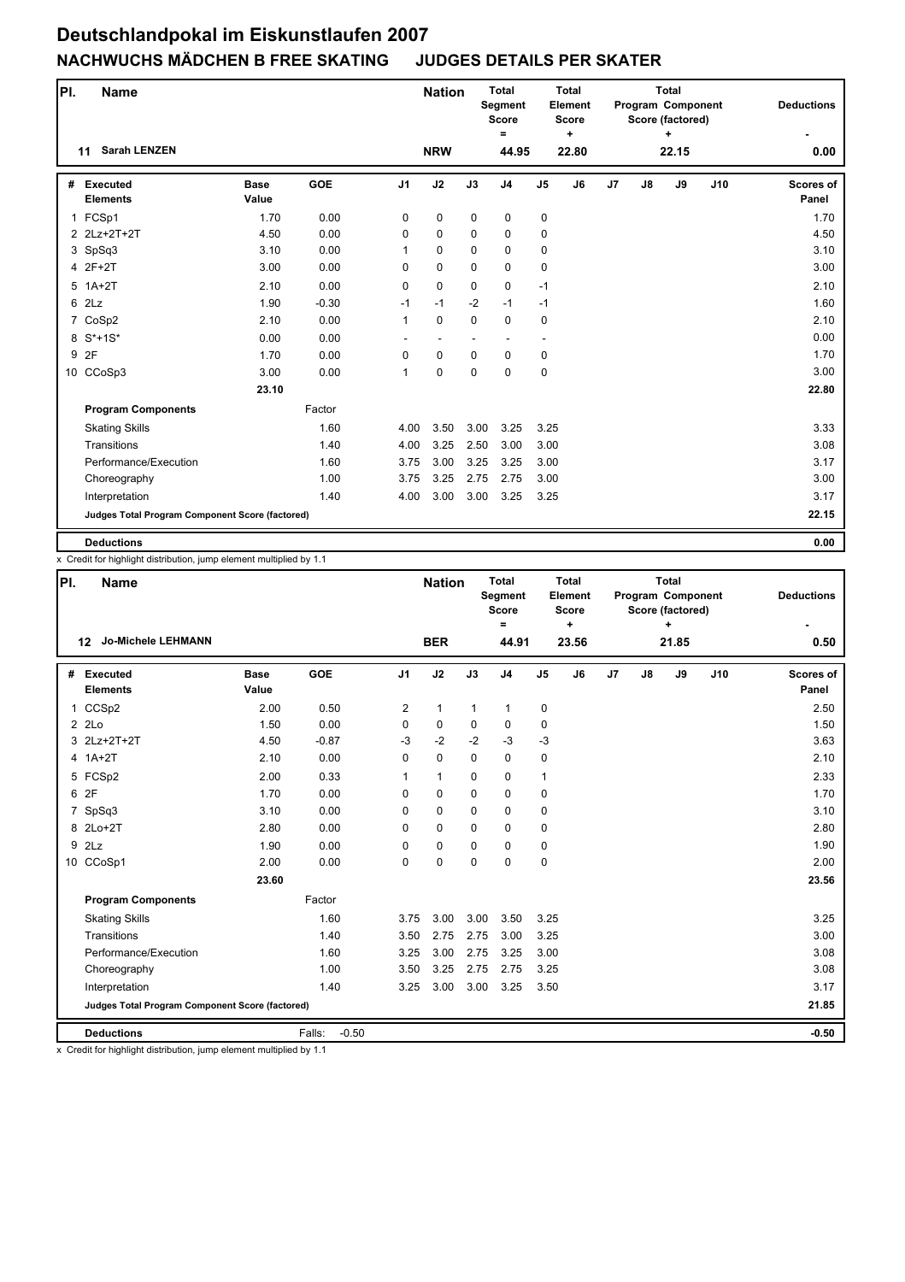| PI. | <b>Name</b>                                     |                      |            |                | <b>Nation</b> |             | <b>Total</b><br><b>Segment</b><br><b>Score</b><br>$\equiv$ |                | <b>Total</b><br>Element<br><b>Score</b><br>$\ddot{}$ |                |    | <b>Total</b><br>Program Component<br>Score (factored)<br>÷ |     | <b>Deductions</b>  |
|-----|-------------------------------------------------|----------------------|------------|----------------|---------------|-------------|------------------------------------------------------------|----------------|------------------------------------------------------|----------------|----|------------------------------------------------------------|-----|--------------------|
|     | <b>Sarah LENZEN</b><br>11                       |                      |            |                | <b>NRW</b>    |             | 44.95                                                      |                | 22.80                                                |                |    | 22.15                                                      |     | 0.00               |
| #   | <b>Executed</b><br><b>Elements</b>              | <b>Base</b><br>Value | <b>GOE</b> | J <sub>1</sub> | J2            | J3          | J <sub>4</sub>                                             | J <sub>5</sub> | J6                                                   | J <sub>7</sub> | J8 | J9                                                         | J10 | Scores of<br>Panel |
|     | 1 FCSp1                                         | 1.70                 | 0.00       | 0              | 0             | 0           | 0                                                          | 0              |                                                      |                |    |                                                            |     | 1.70               |
|     | 2 2Lz+2T+2T                                     | 4.50                 | 0.00       | 0              | $\mathbf 0$   | $\mathbf 0$ | 0                                                          | 0              |                                                      |                |    |                                                            |     | 4.50               |
|     | 3 SpSq3                                         | 3.10                 | 0.00       | 1              | $\mathbf 0$   | $\Omega$    | 0                                                          | 0              |                                                      |                |    |                                                            |     | 3.10               |
|     | 4 2F+2T                                         | 3.00                 | 0.00       | 0              | $\mathbf 0$   | $\Omega$    | $\mathbf 0$                                                | 0              |                                                      |                |    |                                                            |     | 3.00               |
|     | $5$ 1A+2T                                       | 2.10                 | 0.00       | 0              | $\mathbf 0$   | $\mathbf 0$ | $\mathbf 0$                                                | $-1$           |                                                      |                |    |                                                            |     | 2.10               |
| 6   | 2Lz                                             | 1.90                 | $-0.30$    | $-1$           | $-1$          | $-2$        | $-1$                                                       | $-1$           |                                                      |                |    |                                                            |     | 1.60               |
|     | 7 CoSp2                                         | 2.10                 | 0.00       | 1              | $\mathbf 0$   | $\mathbf 0$ | $\mathbf 0$                                                | 0              |                                                      |                |    |                                                            |     | 2.10               |
|     | 8 S*+1S*                                        | 0.00                 | 0.00       |                | ٠             | ٠           | $\blacksquare$                                             | ٠              |                                                      |                |    |                                                            |     | 0.00               |
|     | 9 2F                                            | 1.70                 | 0.00       | 0              | $\mathbf 0$   | $\mathbf 0$ | 0                                                          | 0              |                                                      |                |    |                                                            |     | 1.70               |
|     | 10 CCoSp3                                       | 3.00                 | 0.00       | 1              | $\mathbf 0$   | $\Omega$    | $\mathbf 0$                                                | 0              |                                                      |                |    |                                                            |     | 3.00               |
|     |                                                 | 23.10                |            |                |               |             |                                                            |                |                                                      |                |    |                                                            |     | 22.80              |
|     | <b>Program Components</b>                       |                      | Factor     |                |               |             |                                                            |                |                                                      |                |    |                                                            |     |                    |
|     | <b>Skating Skills</b>                           |                      | 1.60       | 4.00           | 3.50          | 3.00        | 3.25                                                       | 3.25           |                                                      |                |    |                                                            |     | 3.33               |
|     | Transitions                                     |                      | 1.40       | 4.00           | 3.25          | 2.50        | 3.00                                                       | 3.00           |                                                      |                |    |                                                            |     | 3.08               |
|     | Performance/Execution                           |                      | 1.60       | 3.75           | 3.00          | 3.25        | 3.25                                                       | 3.00           |                                                      |                |    |                                                            |     | 3.17               |
|     | Choreography                                    |                      | 1.00       | 3.75           | 3.25          | 2.75        | 2.75                                                       | 3.00           |                                                      |                |    |                                                            |     | 3.00               |
|     | Interpretation                                  |                      | 1.40       | 4.00           | 3.00          | 3.00        | 3.25                                                       | 3.25           |                                                      |                |    |                                                            |     | 3.17               |
|     | Judges Total Program Component Score (factored) |                      |            |                |               |             |                                                            |                |                                                      |                |    |                                                            |     | 22.15              |
|     | <b>Deductions</b>                               |                      |            |                |               |             |                                                            |                |                                                      |                |    |                                                            |     | 0.00               |

x Credit for highlight distribution, jump element multiplied by 1.1

| PI. | <b>Name</b>                                     |                      |                   |                | <b>Nation</b> |              | <b>Total</b><br>Segment<br><b>Score</b><br>$\equiv$ |                | <b>Total</b><br>Element<br><b>Score</b><br>٠ |    |    | <b>Total</b><br>Program Component<br>Score (factored)<br>٠ |     | <b>Deductions</b>         |
|-----|-------------------------------------------------|----------------------|-------------------|----------------|---------------|--------------|-----------------------------------------------------|----------------|----------------------------------------------|----|----|------------------------------------------------------------|-----|---------------------------|
|     | <b>Jo-Michele LEHMANN</b><br>$12 \,$            |                      |                   |                | <b>BER</b>    |              | 44.91                                               |                | 23.56                                        |    |    | 21.85                                                      |     | 0.50                      |
| #   | <b>Executed</b><br><b>Elements</b>              | <b>Base</b><br>Value | <b>GOE</b>        | J <sub>1</sub> | J2            | J3           | J <sub>4</sub>                                      | J <sub>5</sub> | J6                                           | J7 | J8 | J9                                                         | J10 | <b>Scores of</b><br>Panel |
|     | 1 CCSp2                                         | 2.00                 | 0.50              | $\overline{2}$ | $\mathbf{1}$  | $\mathbf{1}$ | $\mathbf{1}$                                        | 0              |                                              |    |    |                                                            |     | 2.50                      |
|     | 22C                                             | 1.50                 | 0.00              | 0              | $\mathbf 0$   | $\mathbf 0$  | 0                                                   | 0              |                                              |    |    |                                                            |     | 1.50                      |
|     | 3 2Lz+2T+2T                                     | 4.50                 | $-0.87$           | $-3$           | $-2$          | $-2$         | $-3$                                                | $-3$           |                                              |    |    |                                                            |     | 3.63                      |
|     | 4 1A+2T                                         | 2.10                 | 0.00              | 0              | $\mathbf 0$   | $\Omega$     | 0                                                   | 0              |                                              |    |    |                                                            |     | 2.10                      |
|     | 5 FCSp2                                         | 2.00                 | 0.33              | 1              | $\mathbf{1}$  | $\mathbf 0$  | $\mathbf 0$                                         | $\mathbf{1}$   |                                              |    |    |                                                            |     | 2.33                      |
|     | 6 2F                                            | 1.70                 | 0.00              | 0              | $\Omega$      | $\Omega$     | $\Omega$                                            | 0              |                                              |    |    |                                                            |     | 1.70                      |
|     | 7 SpSq3                                         | 3.10                 | 0.00              | 0              | $\mathbf 0$   | $\mathbf 0$  | $\mathbf 0$                                         | 0              |                                              |    |    |                                                            |     | 3.10                      |
|     | 8 2Lo+2T                                        | 2.80                 | 0.00              | $\Omega$       | $\Omega$      | $\mathbf 0$  | 0                                                   | 0              |                                              |    |    |                                                            |     | 2.80                      |
|     | 9 2Lz                                           | 1.90                 | 0.00              | 0              | $\mathbf 0$   | $\Omega$     | 0                                                   | 0              |                                              |    |    |                                                            |     | 1.90                      |
|     | 10 CCoSp1                                       | 2.00                 | 0.00              | 0              | $\mathbf 0$   | $\mathbf 0$  | $\mathbf 0$                                         | 0              |                                              |    |    |                                                            |     | 2.00                      |
|     |                                                 | 23.60                |                   |                |               |              |                                                     |                |                                              |    |    |                                                            |     | 23.56                     |
|     | <b>Program Components</b>                       |                      | Factor            |                |               |              |                                                     |                |                                              |    |    |                                                            |     |                           |
|     | <b>Skating Skills</b>                           |                      | 1.60              | 3.75           | 3.00          | 3.00         | 3.50                                                | 3.25           |                                              |    |    |                                                            |     | 3.25                      |
|     | Transitions                                     |                      | 1.40              | 3.50           | 2.75          | 2.75         | 3.00                                                | 3.25           |                                              |    |    |                                                            |     | 3.00                      |
|     | Performance/Execution                           |                      | 1.60              | 3.25           | 3.00          | 2.75         | 3.25                                                | 3.00           |                                              |    |    |                                                            |     | 3.08                      |
|     | Choreography                                    |                      | 1.00              | 3.50           | 3.25          | 2.75         | 2.75                                                | 3.25           |                                              |    |    |                                                            |     | 3.08                      |
|     | Interpretation                                  |                      | 1.40              | 3.25           | 3.00          | 3.00         | 3.25                                                | 3.50           |                                              |    |    |                                                            |     | 3.17                      |
|     | Judges Total Program Component Score (factored) |                      |                   |                |               |              |                                                     |                |                                              |    |    |                                                            |     | 21.85                     |
|     | <b>Deductions</b>                               |                      | $-0.50$<br>Falls: |                |               |              |                                                     |                |                                              |    |    |                                                            |     | $-0.50$                   |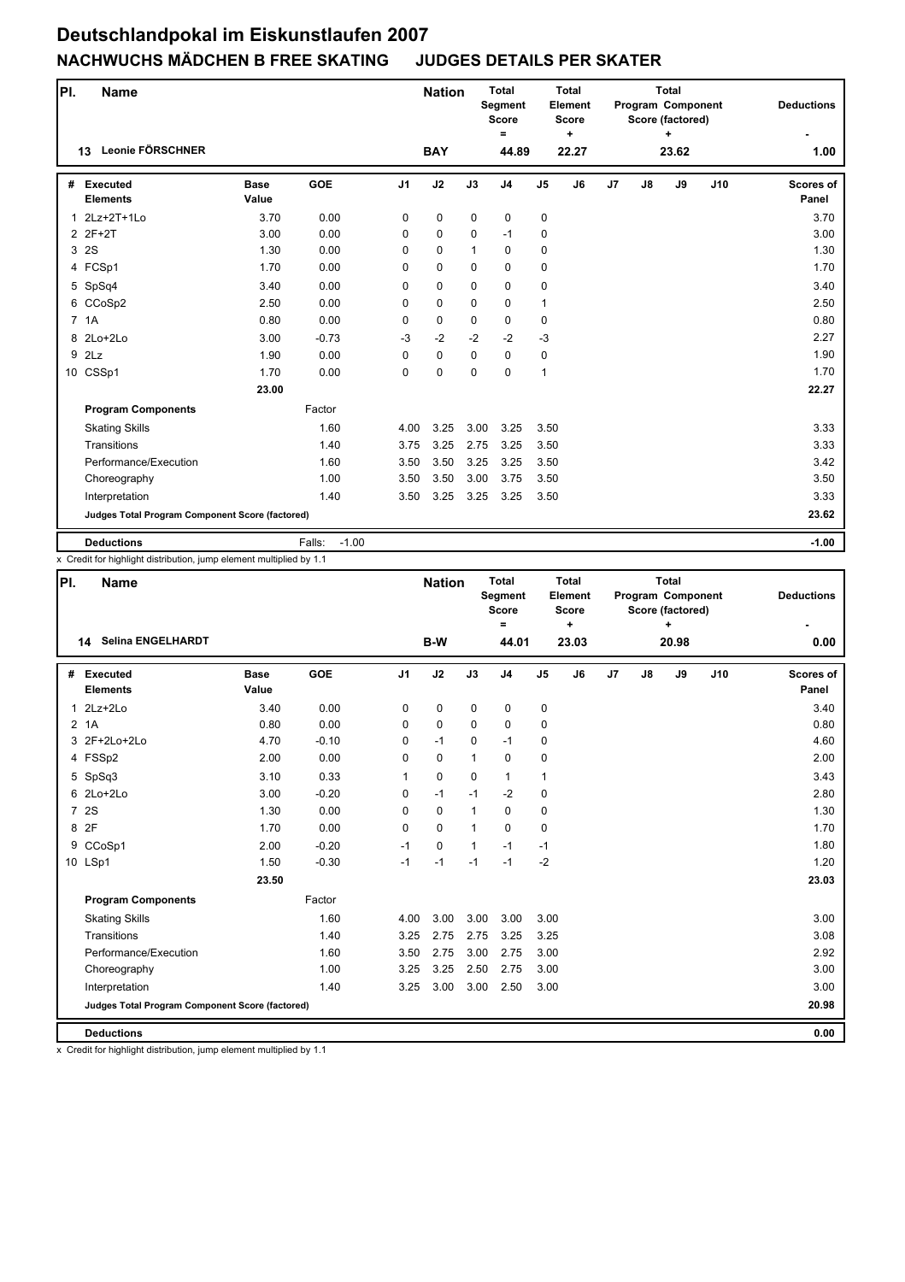| PI. | <b>Name</b>                                     |                      |                   |                | <b>Nation</b> |              | <b>Total</b><br>Segment<br><b>Score</b><br>$=$ |                | <b>Total</b><br>Element<br><b>Score</b><br>$\ddot{}$ |                |    | <b>Total</b><br>Program Component<br>Score (factored)<br>÷ |     | <b>Deductions</b>         |
|-----|-------------------------------------------------|----------------------|-------------------|----------------|---------------|--------------|------------------------------------------------|----------------|------------------------------------------------------|----------------|----|------------------------------------------------------------|-----|---------------------------|
|     | Leonie FÖRSCHNER<br>13                          |                      |                   |                | <b>BAY</b>    |              | 44.89                                          |                | 22.27                                                |                |    | 23.62                                                      |     | 1.00                      |
| #   | <b>Executed</b><br><b>Elements</b>              | <b>Base</b><br>Value | <b>GOE</b>        | J <sub>1</sub> | J2            | J3           | J <sub>4</sub>                                 | J <sub>5</sub> | J6                                                   | J <sub>7</sub> | J8 | J9                                                         | J10 | <b>Scores of</b><br>Panel |
| 1   | $2Lz+2T+1Lo$                                    | 3.70                 | 0.00              | 0              | $\mathbf 0$   | $\mathbf 0$  | 0                                              | 0              |                                                      |                |    |                                                            |     | 3.70                      |
|     | 2 2F+2T                                         | 3.00                 | 0.00              | 0              | $\mathbf 0$   | $\Omega$     | $-1$                                           | $\mathbf 0$    |                                                      |                |    |                                                            |     | 3.00                      |
|     | 3 2S                                            | 1.30                 | 0.00              | $\Omega$       | $\Omega$      | $\mathbf{1}$ | $\Omega$                                       | 0              |                                                      |                |    |                                                            |     | 1.30                      |
|     | 4 FCSp1                                         | 1.70                 | 0.00              | 0              | $\mathbf 0$   | $\Omega$     | $\mathbf 0$                                    | 0              |                                                      |                |    |                                                            |     | 1.70                      |
|     | 5 SpSq4                                         | 3.40                 | 0.00              | 0              | $\mathbf 0$   | $\mathbf 0$  | $\mathbf 0$                                    | 0              |                                                      |                |    |                                                            |     | 3.40                      |
|     | 6 CCoSp2                                        | 2.50                 | 0.00              | 0              | $\mathbf 0$   | $\Omega$     | $\mathbf 0$                                    | $\mathbf{1}$   |                                                      |                |    |                                                            |     | 2.50                      |
|     | 7 1A                                            | 0.80                 | 0.00              | 0              | $\mathbf 0$   | $\Omega$     | $\mathbf 0$                                    | 0              |                                                      |                |    |                                                            |     | 0.80                      |
|     | 8 2Lo+2Lo                                       | 3.00                 | $-0.73$           | $-3$           | $-2$          | $-2$         | $-2$                                           | $-3$           |                                                      |                |    |                                                            |     | 2.27                      |
| 9   | 2Lz                                             | 1.90                 | 0.00              | 0              | $\mathbf 0$   | $\Omega$     | $\mathbf 0$                                    | 0              |                                                      |                |    |                                                            |     | 1.90                      |
|     | 10 CSSp1                                        | 1.70                 | 0.00              | 0              | 0             | $\Omega$     | $\mathbf 0$                                    | $\mathbf{1}$   |                                                      |                |    |                                                            |     | 1.70                      |
|     |                                                 | 23.00                |                   |                |               |              |                                                |                |                                                      |                |    |                                                            |     | 22.27                     |
|     | <b>Program Components</b>                       |                      | Factor            |                |               |              |                                                |                |                                                      |                |    |                                                            |     |                           |
|     | <b>Skating Skills</b>                           |                      | 1.60              | 4.00           | 3.25          | 3.00         | 3.25                                           | 3.50           |                                                      |                |    |                                                            |     | 3.33                      |
|     | Transitions                                     |                      | 1.40              | 3.75           | 3.25          | 2.75         | 3.25                                           | 3.50           |                                                      |                |    |                                                            |     | 3.33                      |
|     | Performance/Execution                           |                      | 1.60              | 3.50           | 3.50          | 3.25         | 3.25                                           | 3.50           |                                                      |                |    |                                                            |     | 3.42                      |
|     | Choreography                                    |                      | 1.00              | 3.50           | 3.50          | 3.00         | 3.75                                           | 3.50           |                                                      |                |    |                                                            |     | 3.50                      |
|     | Interpretation                                  |                      | 1.40              | 3.50           | 3.25          | 3.25         | 3.25                                           | 3.50           |                                                      |                |    |                                                            |     | 3.33                      |
|     | Judges Total Program Component Score (factored) |                      |                   |                |               |              |                                                |                |                                                      |                |    |                                                            |     | 23.62                     |
|     | <b>Deductions</b>                               |                      | $-1.00$<br>Falls: |                |               |              |                                                |                |                                                      |                |    |                                                            |     | $-1.00$                   |

x Credit for highlight distribution, jump element multiplied by 1.1

| PI.          | <b>Name</b>                                     |                      |         |                | <b>Nation</b> |              | <b>Total</b><br>Segment<br><b>Score</b> |                | <b>Total</b><br>Element<br><b>Score</b> |                |    | <b>Total</b><br>Program Component<br>Score (factored) |     | <b>Deductions</b>         |
|--------------|-------------------------------------------------|----------------------|---------|----------------|---------------|--------------|-----------------------------------------|----------------|-----------------------------------------|----------------|----|-------------------------------------------------------|-----|---------------------------|
|              | <b>Selina ENGELHARDT</b><br>14                  |                      |         |                | B-W           |              | $\equiv$<br>44.01                       |                | ÷<br>23.03                              |                |    | 20.98                                                 |     | 0.00                      |
| #            | Executed<br><b>Elements</b>                     | <b>Base</b><br>Value | GOE     | J <sub>1</sub> | J2            | J3           | J <sub>4</sub>                          | J <sub>5</sub> | J6                                      | J <sub>7</sub> | J8 | J9                                                    | J10 | <b>Scores of</b><br>Panel |
| $\mathbf{1}$ | $2Lz+2Lo$                                       | 3.40                 | 0.00    | 0              | 0             | $\mathbf 0$  | 0                                       | 0              |                                         |                |    |                                                       |     | 3.40                      |
|              | 2 <sub>1</sub> A                                | 0.80                 | 0.00    | 0              | $\mathbf 0$   | $\mathbf 0$  | $\mathbf 0$                             | 0              |                                         |                |    |                                                       |     | 0.80                      |
|              | 3 2F+2Lo+2Lo                                    | 4.70                 | $-0.10$ | $\Omega$       | $-1$          | $\Omega$     | $-1$                                    | 0              |                                         |                |    |                                                       |     | 4.60                      |
|              | 4 FSSp2                                         | 2.00                 | 0.00    | 0              | $\mathbf 0$   | $\mathbf{1}$ | $\mathbf 0$                             | 0              |                                         |                |    |                                                       |     | 2.00                      |
|              | 5 SpSq3                                         | 3.10                 | 0.33    | 1              | 0             | $\mathbf 0$  | $\mathbf{1}$                            | $\mathbf{1}$   |                                         |                |    |                                                       |     | 3.43                      |
|              | 6 2Lo+2Lo                                       | 3.00                 | $-0.20$ | 0              | $-1$          | $-1$         | $-2$                                    | 0              |                                         |                |    |                                                       |     | 2.80                      |
|              | 7 2S                                            | 1.30                 | 0.00    | $\Omega$       | 0             | $\mathbf{1}$ | 0                                       | 0              |                                         |                |    |                                                       |     | 1.30                      |
| 8            | 2F                                              | 1.70                 | 0.00    | $\Omega$       | 0             | $\mathbf{1}$ | $\Omega$                                | 0              |                                         |                |    |                                                       |     | 1.70                      |
| 9            | CCoSp1                                          | 2.00                 | $-0.20$ | $-1$           | $\pmb{0}$     | $\mathbf{1}$ | $-1$                                    | $-1$           |                                         |                |    |                                                       |     | 1.80                      |
|              | 10 LSp1                                         | 1.50                 | $-0.30$ | $-1$           | $-1$          | $-1$         | $-1$                                    | $-2$           |                                         |                |    |                                                       |     | 1.20                      |
|              |                                                 | 23.50                |         |                |               |              |                                         |                |                                         |                |    |                                                       |     | 23.03                     |
|              | <b>Program Components</b>                       |                      | Factor  |                |               |              |                                         |                |                                         |                |    |                                                       |     |                           |
|              | <b>Skating Skills</b>                           |                      | 1.60    | 4.00           | 3.00          | 3.00         | 3.00                                    | 3.00           |                                         |                |    |                                                       |     | 3.00                      |
|              | Transitions                                     |                      | 1.40    | 3.25           | 2.75          | 2.75         | 3.25                                    | 3.25           |                                         |                |    |                                                       |     | 3.08                      |
|              | Performance/Execution                           |                      | 1.60    | 3.50           | 2.75          | 3.00         | 2.75                                    | 3.00           |                                         |                |    |                                                       |     | 2.92                      |
|              | Choreography                                    |                      | 1.00    | 3.25           | 3.25          | 2.50         | 2.75                                    | 3.00           |                                         |                |    |                                                       |     | 3.00                      |
|              | Interpretation                                  |                      | 1.40    | 3.25           | 3.00          | 3.00         | 2.50                                    | 3.00           |                                         |                |    |                                                       |     | 3.00                      |
|              | Judges Total Program Component Score (factored) |                      |         |                |               |              |                                         |                |                                         |                |    |                                                       |     | 20.98                     |
|              | <b>Deductions</b>                               |                      |         |                |               |              |                                         |                |                                         |                |    |                                                       |     | 0.00                      |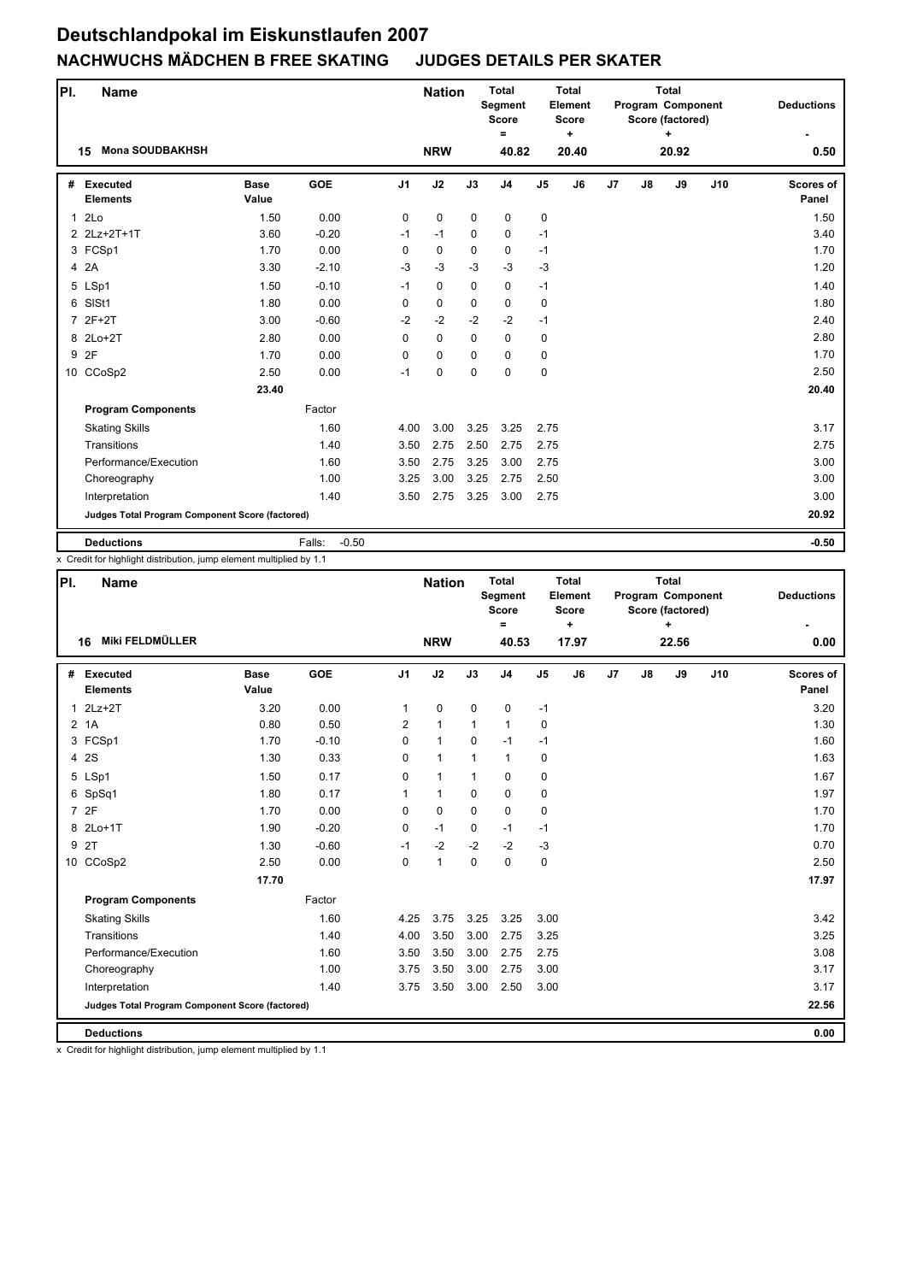| PI.          | <b>Name</b>                                     |                      |                   |                | <b>Nation</b> |             | <b>Total</b><br>Segment<br><b>Score</b><br>$=$ |                | <b>Total</b><br>Element<br><b>Score</b><br>$\ddot{}$ |                |    | <b>Total</b><br>Program Component<br>Score (factored)<br>÷ |     | <b>Deductions</b>  |
|--------------|-------------------------------------------------|----------------------|-------------------|----------------|---------------|-------------|------------------------------------------------|----------------|------------------------------------------------------|----------------|----|------------------------------------------------------------|-----|--------------------|
|              | <b>Mona SOUDBAKHSH</b><br>15                    |                      |                   |                | <b>NRW</b>    |             | 40.82                                          |                | 20.40                                                |                |    | 20.92                                                      |     | 0.50               |
| #            | <b>Executed</b><br><b>Elements</b>              | <b>Base</b><br>Value | <b>GOE</b>        | J <sub>1</sub> | J2            | J3          | J <sub>4</sub>                                 | J <sub>5</sub> | J6                                                   | J <sub>7</sub> | J8 | J9                                                         | J10 | Scores of<br>Panel |
| $\mathbf{1}$ | 2Lo                                             | 1.50                 | 0.00              | 0              | $\mathbf 0$   | $\mathbf 0$ | 0                                              | 0              |                                                      |                |    |                                                            |     | 1.50               |
|              | 2 2Lz+2T+1T                                     | 3.60                 | $-0.20$           | $-1$           | $-1$          | $\Omega$    | $\mathbf 0$                                    | $-1$           |                                                      |                |    |                                                            |     | 3.40               |
|              | 3 FCSp1                                         | 1.70                 | 0.00              | 0              | 0             | $\Omega$    | $\mathbf 0$                                    | $-1$           |                                                      |                |    |                                                            |     | 1.70               |
|              | 4 2A                                            | 3.30                 | $-2.10$           | $-3$           | $-3$          | $-3$        | $-3$                                           | $-3$           |                                                      |                |    |                                                            |     | 1.20               |
|              | 5 LSp1                                          | 1.50                 | $-0.10$           | $-1$           | $\mathbf 0$   | $\mathbf 0$ | $\mathbf 0$                                    | $-1$           |                                                      |                |    |                                                            |     | 1.40               |
| 6            | SISt1                                           | 1.80                 | 0.00              | 0              | $\mathbf 0$   | $\mathbf 0$ | $\mathbf 0$                                    | $\mathbf 0$    |                                                      |                |    |                                                            |     | 1.80               |
| 7            | $2F+2T$                                         | 3.00                 | $-0.60$           | $-2$           | $-2$          | $-2$        | $-2$                                           | $-1$           |                                                      |                |    |                                                            |     | 2.40               |
|              | 8 2Lo+2T                                        | 2.80                 | 0.00              | $\Omega$       | $\mathbf 0$   | $\mathbf 0$ | $\mathbf 0$                                    | $\mathbf 0$    |                                                      |                |    |                                                            |     | 2.80               |
| 9            | 2F                                              | 1.70                 | 0.00              | 0              | $\mathbf 0$   | $\Omega$    | $\mathbf 0$                                    | $\mathbf 0$    |                                                      |                |    |                                                            |     | 1.70               |
|              | 10 CCoSp2                                       | 2.50                 | 0.00              | $-1$           | 0             | $\Omega$    | $\mathbf 0$                                    | $\mathbf 0$    |                                                      |                |    |                                                            |     | 2.50               |
|              |                                                 | 23.40                |                   |                |               |             |                                                |                |                                                      |                |    |                                                            |     | 20.40              |
|              | <b>Program Components</b>                       |                      | Factor            |                |               |             |                                                |                |                                                      |                |    |                                                            |     |                    |
|              | <b>Skating Skills</b>                           |                      | 1.60              | 4.00           | 3.00          | 3.25        | 3.25                                           | 2.75           |                                                      |                |    |                                                            |     | 3.17               |
|              | Transitions                                     |                      | 1.40              | 3.50           | 2.75          | 2.50        | 2.75                                           | 2.75           |                                                      |                |    |                                                            |     | 2.75               |
|              | Performance/Execution                           |                      | 1.60              | 3.50           | 2.75          | 3.25        | 3.00                                           | 2.75           |                                                      |                |    |                                                            |     | 3.00               |
|              | Choreography                                    |                      | 1.00              | 3.25           | 3.00          | 3.25        | 2.75                                           | 2.50           |                                                      |                |    |                                                            |     | 3.00               |
|              | Interpretation                                  |                      | 1.40              | 3.50           | 2.75          | 3.25        | 3.00                                           | 2.75           |                                                      |                |    |                                                            |     | 3.00               |
|              | Judges Total Program Component Score (factored) |                      |                   |                |               |             |                                                |                |                                                      |                |    |                                                            |     | 20.92              |
|              | <b>Deductions</b>                               |                      | $-0.50$<br>Falls: |                |               |             |                                                |                |                                                      |                |    |                                                            |     | $-0.50$            |

x Credit for highlight distribution, jump element multiplied by 1.1

| PI.          | <b>Name</b>                                     |                      |            |                | <b>Nation</b> |              | <b>Total</b><br>Segment<br><b>Score</b><br>$=$ |                | <b>Total</b><br>Element<br>Score<br>$\ddot{}$ |    |    | <b>Total</b><br>Program Component<br>Score (factored)<br>÷ |     | <b>Deductions</b>         |
|--------------|-------------------------------------------------|----------------------|------------|----------------|---------------|--------------|------------------------------------------------|----------------|-----------------------------------------------|----|----|------------------------------------------------------------|-----|---------------------------|
|              | Miki FELDMÜLLER<br>16                           |                      |            |                | <b>NRW</b>    |              | 40.53                                          |                | 17.97                                         |    |    | 22.56                                                      |     | 0.00                      |
| #            | Executed<br><b>Elements</b>                     | <b>Base</b><br>Value | <b>GOE</b> | J <sub>1</sub> | J2            | J3           | J <sub>4</sub>                                 | J <sub>5</sub> | J6                                            | J7 | J8 | J9                                                         | J10 | <b>Scores of</b><br>Panel |
| $\mathbf{1}$ | $2Lz+2T$                                        | 3.20                 | 0.00       | $\mathbf{1}$   | 0             | 0            | 0                                              | $-1$           |                                               |    |    |                                                            |     | 3.20                      |
|              | 2 <sub>1</sub> A                                | 0.80                 | 0.50       | 2              | $\mathbf{1}$  | $\mathbf{1}$ | $\mathbf{1}$                                   | 0              |                                               |    |    |                                                            |     | 1.30                      |
|              | 3 FCSp1                                         | 1.70                 | $-0.10$    | $\Omega$       | $\mathbf{1}$  | 0            | $-1$                                           | $-1$           |                                               |    |    |                                                            |     | 1.60                      |
|              | 4 2 S                                           | 1.30                 | 0.33       | 0              | $\mathbf{1}$  | $\mathbf{1}$ | $\mathbf{1}$                                   | 0              |                                               |    |    |                                                            |     | 1.63                      |
|              | 5 LSp1                                          | 1.50                 | 0.17       | 0              | $\mathbf{1}$  | 1            | 0                                              | 0              |                                               |    |    |                                                            |     | 1.67                      |
|              | 6 SpSq1                                         | 1.80                 | 0.17       | 1              | $\mathbf{1}$  | $\mathbf 0$  | $\pmb{0}$                                      | 0              |                                               |    |    |                                                            |     | 1.97                      |
|              | 7 2F                                            | 1.70                 | 0.00       | $\Omega$       | 0             | $\mathbf 0$  | $\pmb{0}$                                      | 0              |                                               |    |    |                                                            |     | 1.70                      |
|              | 8 2Lo+1T                                        | 1.90                 | $-0.20$    | 0              | $-1$          | 0            | $-1$                                           | $-1$           |                                               |    |    |                                                            |     | 1.70                      |
| 9            | 2T                                              | 1.30                 | $-0.60$    | $-1$           | $-2$          | $-2$         | $-2$                                           | $-3$           |                                               |    |    |                                                            |     | 0.70                      |
|              | 10 CCoSp2                                       | 2.50                 | 0.00       | $\Omega$       | $\mathbf{1}$  | $\mathbf 0$  | $\mathbf 0$                                    | 0              |                                               |    |    |                                                            |     | 2.50                      |
|              |                                                 | 17.70                |            |                |               |              |                                                |                |                                               |    |    |                                                            |     | 17.97                     |
|              | <b>Program Components</b>                       |                      | Factor     |                |               |              |                                                |                |                                               |    |    |                                                            |     |                           |
|              | <b>Skating Skills</b>                           |                      | 1.60       | 4.25           | 3.75          | 3.25         | 3.25                                           | 3.00           |                                               |    |    |                                                            |     | 3.42                      |
|              | Transitions                                     |                      | 1.40       | 4.00           | 3.50          | 3.00         | 2.75                                           | 3.25           |                                               |    |    |                                                            |     | 3.25                      |
|              | Performance/Execution                           |                      | 1.60       | 3.50           | 3.50          | 3.00         | 2.75                                           | 2.75           |                                               |    |    |                                                            |     | 3.08                      |
|              | Choreography                                    |                      | 1.00       | 3.75           | 3.50          | 3.00         | 2.75                                           | 3.00           |                                               |    |    |                                                            |     | 3.17                      |
|              | Interpretation                                  |                      | 1.40       | 3.75           | 3.50          | 3.00         | 2.50                                           | 3.00           |                                               |    |    |                                                            |     | 3.17                      |
|              | Judges Total Program Component Score (factored) |                      |            |                |               |              |                                                |                |                                               |    |    |                                                            |     | 22.56                     |
|              | <b>Deductions</b>                               |                      |            |                |               |              |                                                |                |                                               |    |    |                                                            |     | 0.00                      |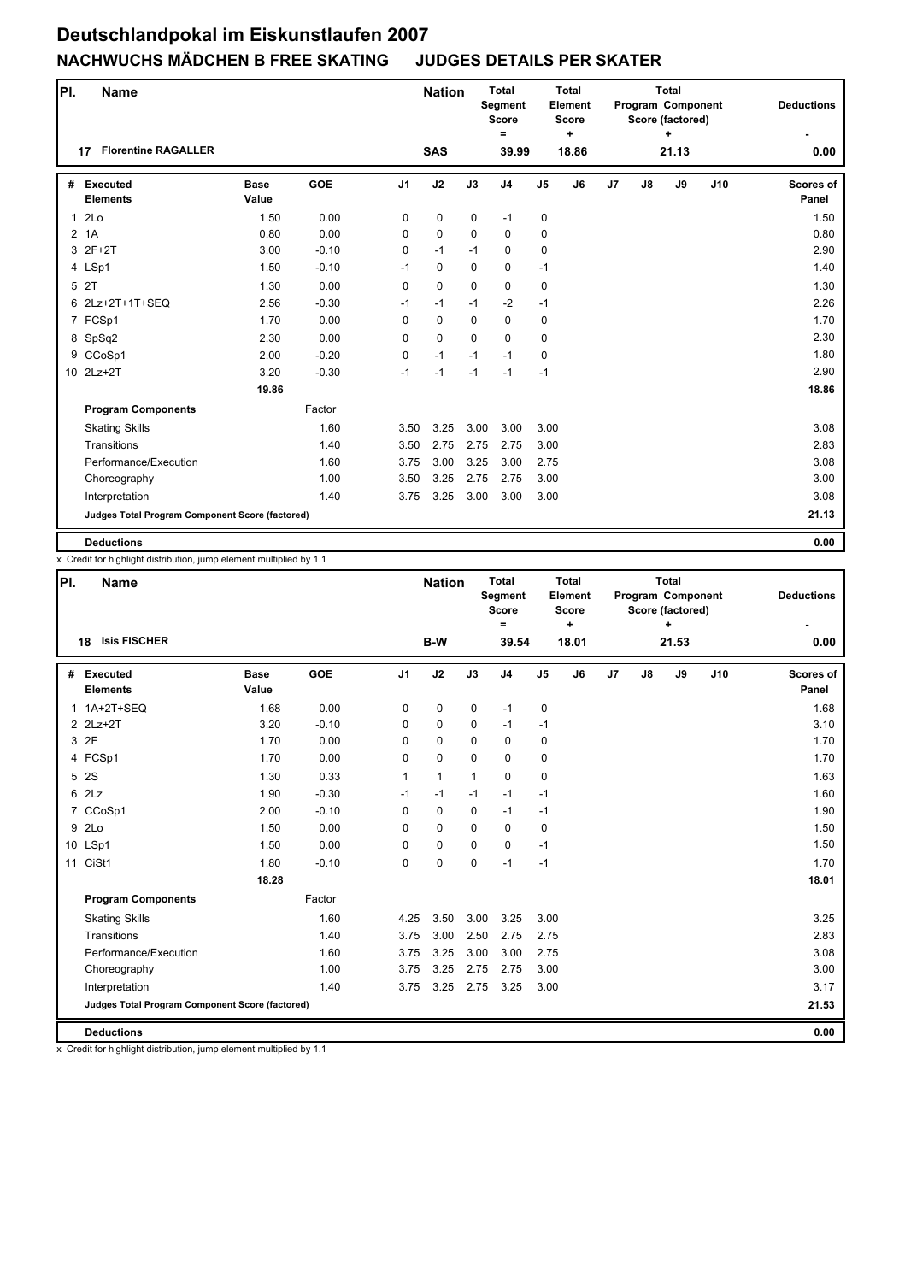| PI.          | <b>Name</b>                                     |                      |            |                | <b>Nation</b> |             | <b>Total</b><br>Segment<br><b>Score</b><br>Ξ |                | <b>Total</b><br>Element<br><b>Score</b><br>$\ddot{}$ |                |    | <b>Total</b><br>Program Component<br>Score (factored)<br>÷ |     | <b>Deductions</b>  |
|--------------|-------------------------------------------------|----------------------|------------|----------------|---------------|-------------|----------------------------------------------|----------------|------------------------------------------------------|----------------|----|------------------------------------------------------------|-----|--------------------|
|              | <b>Florentine RAGALLER</b><br>17                |                      |            |                | <b>SAS</b>    |             | 39.99                                        |                | 18.86                                                |                |    | 21.13                                                      |     | 0.00               |
| #            | <b>Executed</b><br><b>Elements</b>              | <b>Base</b><br>Value | <b>GOE</b> | J <sub>1</sub> | J2            | J3          | J <sub>4</sub>                               | J <sub>5</sub> | J6                                                   | J <sub>7</sub> | J8 | J9                                                         | J10 | Scores of<br>Panel |
| $\mathbf{1}$ | 2 <sub>LO</sub>                                 | 1.50                 | 0.00       | 0              | 0             | 0           | $-1$                                         | 0              |                                                      |                |    |                                                            |     | 1.50               |
|              | 2 <sub>1</sub> A                                | 0.80                 | 0.00       | 0              | 0             | $\Omega$    | $\mathbf 0$                                  | 0              |                                                      |                |    |                                                            |     | 0.80               |
|              | 3 2F+2T                                         | 3.00                 | $-0.10$    | 0              | $-1$          | $-1$        | $\mathbf 0$                                  | 0              |                                                      |                |    |                                                            |     | 2.90               |
|              | 4 LSp1                                          | 1.50                 | $-0.10$    | $-1$           | 0             | $\mathbf 0$ | 0                                            | $-1$           |                                                      |                |    |                                                            |     | 1.40               |
|              | 5 2T                                            | 1.30                 | 0.00       | 0              | $\mathbf 0$   | $\mathbf 0$ | 0                                            | 0              |                                                      |                |    |                                                            |     | 1.30               |
|              | 6 2Lz+2T+1T+SEQ                                 | 2.56                 | $-0.30$    | $-1$           | $-1$          | $-1$        | $-2$                                         | $-1$           |                                                      |                |    |                                                            |     | 2.26               |
|              | 7 FCSp1                                         | 1.70                 | 0.00       | 0              | $\mathbf 0$   | $\Omega$    | 0                                            | 0              |                                                      |                |    |                                                            |     | 1.70               |
|              | 8 SpSq2                                         | 2.30                 | 0.00       | 0              | $\Omega$      | $\Omega$    | $\Omega$                                     | $\mathbf 0$    |                                                      |                |    |                                                            |     | 2.30               |
|              | 9 CCoSp1                                        | 2.00                 | $-0.20$    | 0              | $-1$          | $-1$        | $-1$                                         | 0              |                                                      |                |    |                                                            |     | 1.80               |
|              | 10 2Lz+2T                                       | 3.20                 | $-0.30$    | $-1$           | $-1$          | $-1$        | $-1$                                         | $-1$           |                                                      |                |    |                                                            |     | 2.90               |
|              |                                                 | 19.86                |            |                |               |             |                                              |                |                                                      |                |    |                                                            |     | 18.86              |
|              | <b>Program Components</b>                       |                      | Factor     |                |               |             |                                              |                |                                                      |                |    |                                                            |     |                    |
|              | <b>Skating Skills</b>                           |                      | 1.60       | 3.50           | 3.25          | 3.00        | 3.00                                         | 3.00           |                                                      |                |    |                                                            |     | 3.08               |
|              | Transitions                                     |                      | 1.40       | 3.50           | 2.75          | 2.75        | 2.75                                         | 3.00           |                                                      |                |    |                                                            |     | 2.83               |
|              | Performance/Execution                           |                      | 1.60       | 3.75           | 3.00          | 3.25        | 3.00                                         | 2.75           |                                                      |                |    |                                                            |     | 3.08               |
|              | Choreography                                    |                      | 1.00       | 3.50           | 3.25          | 2.75        | 2.75                                         | 3.00           |                                                      |                |    |                                                            |     | 3.00               |
|              | Interpretation                                  |                      | 1.40       | 3.75           | 3.25          | 3.00        | 3.00                                         | 3.00           |                                                      |                |    |                                                            |     | 3.08               |
|              | Judges Total Program Component Score (factored) |                      |            |                |               |             |                                              |                |                                                      |                |    |                                                            |     | 21.13              |
|              | <b>Deductions</b>                               |                      |            |                |               |             |                                              |                |                                                      |                |    |                                                            |     | 0.00               |

x Credit for highlight distribution, jump element multiplied by 1.1

| PI. | Name                                            |                      |         |                | <b>Nation</b> |              | <b>Total</b><br>Segment<br><b>Score</b><br>Ξ |                | <b>Total</b><br>Element<br>Score<br>$\ddot{}$ |    |               | <b>Total</b><br>Program Component<br>Score (factored) |     | <b>Deductions</b>         |
|-----|-------------------------------------------------|----------------------|---------|----------------|---------------|--------------|----------------------------------------------|----------------|-----------------------------------------------|----|---------------|-------------------------------------------------------|-----|---------------------------|
|     | <b>Isis FISCHER</b><br>18                       |                      |         |                | B-W           |              | 39.54                                        |                | 18.01                                         |    |               | 21.53                                                 |     | 0.00                      |
| #   | Executed<br><b>Elements</b>                     | <b>Base</b><br>Value | GOE     | J <sub>1</sub> | J2            | J3           | J <sub>4</sub>                               | J <sub>5</sub> | J6                                            | J7 | $\mathsf{J}8$ | J9                                                    | J10 | <b>Scores of</b><br>Panel |
| 1   | 1A+2T+SEQ                                       | 1.68                 | 0.00    | 0              | 0             | $\mathbf 0$  | $-1$                                         | 0              |                                               |    |               |                                                       |     | 1.68                      |
|     | 2 2Lz+2T                                        | 3.20                 | $-0.10$ | 0              | 0             | $\mathbf 0$  | $-1$                                         | $-1$           |                                               |    |               |                                                       |     | 3.10                      |
|     | 3 2F                                            | 1.70                 | 0.00    | 0              | 0             | $\Omega$     | $\mathbf 0$                                  | 0              |                                               |    |               |                                                       |     | 1.70                      |
|     | 4 FCSp1                                         | 1.70                 | 0.00    | 0              | 0             | $\Omega$     | $\mathbf 0$                                  | 0              |                                               |    |               |                                                       |     | 1.70                      |
| 5   | <b>2S</b>                                       | 1.30                 | 0.33    | 1              | $\mathbf{1}$  | $\mathbf{1}$ | $\mathbf 0$                                  | 0              |                                               |    |               |                                                       |     | 1.63                      |
| 6   | 2Lz                                             | 1.90                 | $-0.30$ | $-1$           | $-1$          | $-1$         | $-1$                                         | $-1$           |                                               |    |               |                                                       |     | 1.60                      |
|     | 7 CCoSp1                                        | 2.00                 | $-0.10$ | $\Omega$       | 0             | $\mathbf 0$  | $-1$                                         | $-1$           |                                               |    |               |                                                       |     | 1.90                      |
| 9   | 2Lo                                             | 1.50                 | 0.00    | 0              | $\Omega$      | $\Omega$     | $\mathbf 0$                                  | 0              |                                               |    |               |                                                       |     | 1.50                      |
|     | 10 LSp1                                         | 1.50                 | 0.00    | 0              | 0             | $\Omega$     | $\mathbf 0$                                  | $-1$           |                                               |    |               |                                                       |     | 1.50                      |
|     | 11 CiSt1                                        | 1.80                 | $-0.10$ | 0              | 0             | 0            | $-1$                                         | $-1$           |                                               |    |               |                                                       |     | 1.70                      |
|     |                                                 | 18.28                |         |                |               |              |                                              |                |                                               |    |               |                                                       |     | 18.01                     |
|     | <b>Program Components</b>                       |                      | Factor  |                |               |              |                                              |                |                                               |    |               |                                                       |     |                           |
|     | <b>Skating Skills</b>                           |                      | 1.60    | 4.25           | 3.50          | 3.00         | 3.25                                         | 3.00           |                                               |    |               |                                                       |     | 3.25                      |
|     | Transitions                                     |                      | 1.40    | 3.75           | 3.00          | 2.50         | 2.75                                         | 2.75           |                                               |    |               |                                                       |     | 2.83                      |
|     | Performance/Execution                           |                      | 1.60    | 3.75           | 3.25          | 3.00         | 3.00                                         | 2.75           |                                               |    |               |                                                       |     | 3.08                      |
|     | Choreography                                    |                      | 1.00    | 3.75           | 3.25          | 2.75         | 2.75                                         | 3.00           |                                               |    |               |                                                       |     | 3.00                      |
|     | Interpretation                                  |                      | 1.40    | 3.75           | 3.25          | 2.75         | 3.25                                         | 3.00           |                                               |    |               |                                                       |     | 3.17                      |
|     | Judges Total Program Component Score (factored) |                      |         |                |               |              |                                              |                |                                               |    |               |                                                       |     | 21.53                     |
|     | <b>Deductions</b>                               |                      |         |                |               |              |                                              |                |                                               |    |               |                                                       |     | 0.00                      |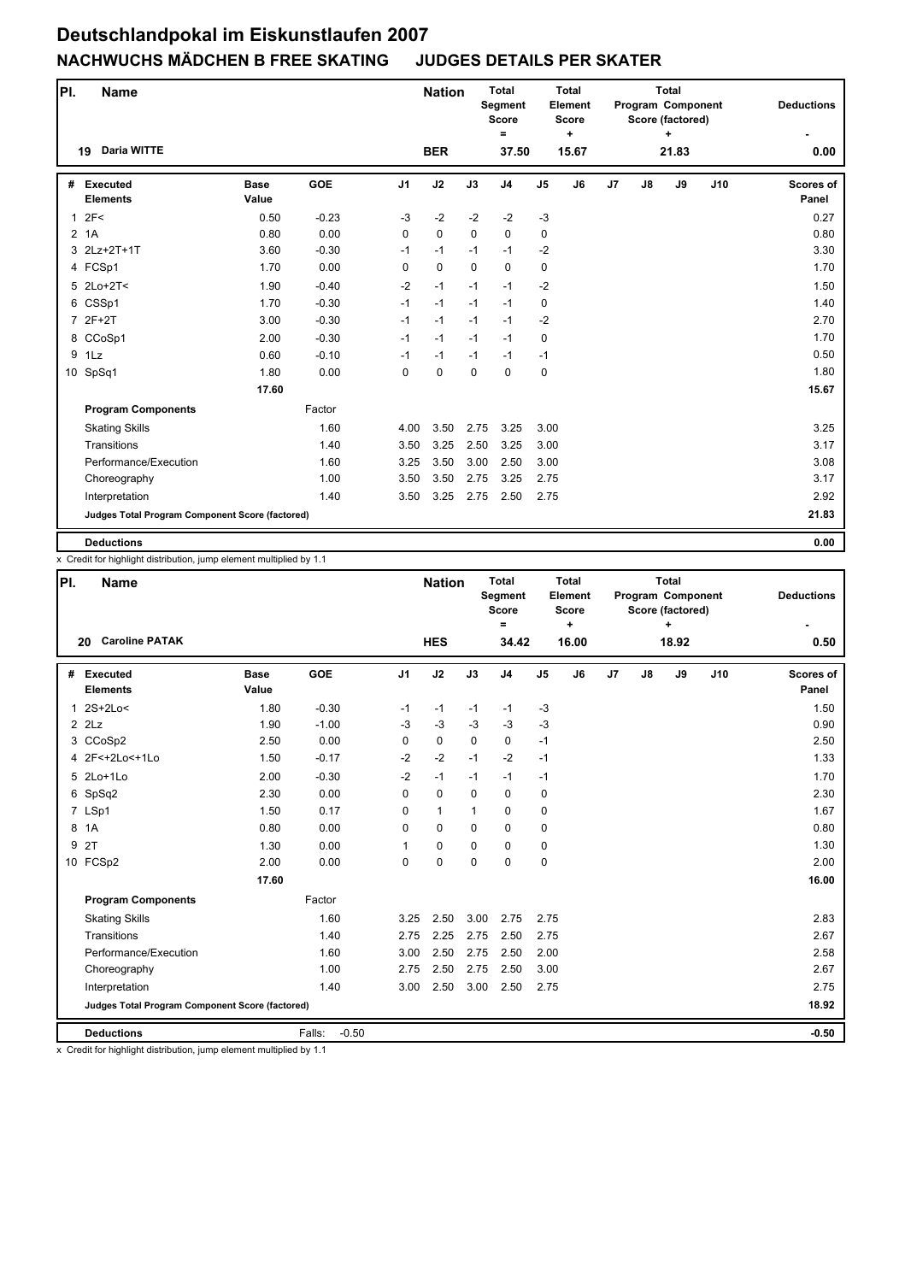| PI. | <b>Name</b>                                     |                      |            |                | <b>Nation</b> |             | <b>Total</b><br><b>Segment</b><br><b>Score</b><br>$\equiv$ |                | <b>Total</b><br>Element<br><b>Score</b><br>$\ddot{}$ |                |    | <b>Total</b><br>Program Component<br>Score (factored)<br>÷ |     | <b>Deductions</b>  |
|-----|-------------------------------------------------|----------------------|------------|----------------|---------------|-------------|------------------------------------------------------------|----------------|------------------------------------------------------|----------------|----|------------------------------------------------------------|-----|--------------------|
|     | <b>Daria WITTE</b><br>19                        |                      |            |                | <b>BER</b>    |             | 37.50                                                      |                | 15.67                                                |                |    | 21.83                                                      |     | 0.00               |
| #   | <b>Executed</b><br><b>Elements</b>              | <b>Base</b><br>Value | <b>GOE</b> | J <sub>1</sub> | J2            | J3          | J <sub>4</sub>                                             | J <sub>5</sub> | J6                                                   | J <sub>7</sub> | J8 | J9                                                         | J10 | Scores of<br>Panel |
|     | 12F<                                            | 0.50                 | $-0.23$    | $-3$           | $-2$          | $-2$        | $-2$                                                       | $-3$           |                                                      |                |    |                                                            |     | 0.27               |
|     | 2 1A                                            | 0.80                 | 0.00       | 0              | $\mathbf 0$   | $\mathbf 0$ | $\mathbf 0$                                                | 0              |                                                      |                |    |                                                            |     | 0.80               |
|     | 3 2Lz+2T+1T                                     | 3.60                 | $-0.30$    | $-1$           | $-1$          | $-1$        | $-1$                                                       | $-2$           |                                                      |                |    |                                                            |     | 3.30               |
|     | 4 FCSp1                                         | 1.70                 | 0.00       | 0              | $\mathbf 0$   | $\Omega$    | $\mathbf 0$                                                | 0              |                                                      |                |    |                                                            |     | 1.70               |
|     | 5 2Lo+2T<                                       | 1.90                 | $-0.40$    | $-2$           | $-1$          | $-1$        | $-1$                                                       | $-2$           |                                                      |                |    |                                                            |     | 1.50               |
|     | 6 CSSp1                                         | 1.70                 | $-0.30$    | $-1$           | $-1$          | $-1$        | $-1$                                                       | 0              |                                                      |                |    |                                                            |     | 1.40               |
|     | 7 2F+2T                                         | 3.00                 | $-0.30$    | $-1$           | $-1$          | $-1$        | $-1$                                                       | $-2$           |                                                      |                |    |                                                            |     | 2.70               |
|     | 8 CCoSp1                                        | 2.00                 | $-0.30$    | $-1$           | $-1$          | $-1$        | $-1$                                                       | 0              |                                                      |                |    |                                                            |     | 1.70               |
|     | 9 1Lz                                           | 0.60                 | $-0.10$    | $-1$           | $-1$          | $-1$        | $-1$                                                       | $-1$           |                                                      |                |    |                                                            |     | 0.50               |
|     | 10 SpSq1                                        | 1.80                 | 0.00       | $\Omega$       | $\mathbf 0$   | $\Omega$    | 0                                                          | 0              |                                                      |                |    |                                                            |     | 1.80               |
|     |                                                 | 17.60                |            |                |               |             |                                                            |                |                                                      |                |    |                                                            |     | 15.67              |
|     | <b>Program Components</b>                       |                      | Factor     |                |               |             |                                                            |                |                                                      |                |    |                                                            |     |                    |
|     | <b>Skating Skills</b>                           |                      | 1.60       | 4.00           | 3.50          | 2.75        | 3.25                                                       | 3.00           |                                                      |                |    |                                                            |     | 3.25               |
|     | Transitions                                     |                      | 1.40       | 3.50           | 3.25          | 2.50        | 3.25                                                       | 3.00           |                                                      |                |    |                                                            |     | 3.17               |
|     | Performance/Execution                           |                      | 1.60       | 3.25           | 3.50          | 3.00        | 2.50                                                       | 3.00           |                                                      |                |    |                                                            |     | 3.08               |
|     | Choreography                                    |                      | 1.00       | 3.50           | 3.50          | 2.75        | 3.25                                                       | 2.75           |                                                      |                |    |                                                            |     | 3.17               |
|     | Interpretation                                  |                      | 1.40       | 3.50           | 3.25          | 2.75        | 2.50                                                       | 2.75           |                                                      |                |    |                                                            |     | 2.92               |
|     | Judges Total Program Component Score (factored) |                      |            |                |               |             |                                                            |                |                                                      |                |    |                                                            |     | 21.83              |
|     | <b>Deductions</b>                               |                      |            |                |               |             |                                                            |                |                                                      |                |    |                                                            |     | 0.00               |

x Credit for highlight distribution, jump element multiplied by 1.1

| PI. | <b>Name</b>                                     |                      |                   |                | <b>Nation</b> |             | <b>Total</b><br><b>Segment</b><br><b>Score</b><br>$\equiv$ |                | <b>Total</b><br>Element<br><b>Score</b><br>$\ddot{}$ |                |    | <b>Total</b><br>Program Component<br>Score (factored)<br>٠ |     | <b>Deductions</b>         |
|-----|-------------------------------------------------|----------------------|-------------------|----------------|---------------|-------------|------------------------------------------------------------|----------------|------------------------------------------------------|----------------|----|------------------------------------------------------------|-----|---------------------------|
|     | <b>Caroline PATAK</b><br>20                     |                      |                   |                | <b>HES</b>    |             | 34.42                                                      |                | 16.00                                                |                |    | 18.92                                                      |     | 0.50                      |
| #   | <b>Executed</b><br><b>Elements</b>              | <b>Base</b><br>Value | <b>GOE</b>        | J <sub>1</sub> | J2            | J3          | J <sub>4</sub>                                             | J <sub>5</sub> | J6                                                   | J <sub>7</sub> | J8 | J9                                                         | J10 | <b>Scores of</b><br>Panel |
| 1   | $2S+2Lo<$                                       | 1.80                 | $-0.30$           | $-1$           | $-1$          | $-1$        | $-1$                                                       | $-3$           |                                                      |                |    |                                                            |     | 1.50                      |
|     | $2$ $2$ Lz                                      | 1.90                 | $-1.00$           | $-3$           | $-3$          | $-3$        | $-3$                                                       | $-3$           |                                                      |                |    |                                                            |     | 0.90                      |
|     | 3 CCoSp2                                        | 2.50                 | 0.00              | $\Omega$       | 0             | $\Omega$    | $\Omega$                                                   | $-1$           |                                                      |                |    |                                                            |     | 2.50                      |
|     | 4 2F<+2Lo<+1Lo                                  | 1.50                 | $-0.17$           | $-2$           | $-2$          | $-1$        | $-2$                                                       | $-1$           |                                                      |                |    |                                                            |     | 1.33                      |
|     | 5 2Lo+1Lo                                       | 2.00                 | $-0.30$           | $-2$           | $-1$          | $-1$        | $-1$                                                       | $-1$           |                                                      |                |    |                                                            |     | 1.70                      |
|     | 6 SpSq2                                         | 2.30                 | 0.00              | $\Omega$       | $\mathbf 0$   | $\Omega$    | $\mathbf 0$                                                | 0              |                                                      |                |    |                                                            |     | 2.30                      |
|     | 7 LSp1                                          | 1.50                 | 0.17              | $\Omega$       | $\mathbf{1}$  | $\mathbf 1$ | $\Omega$                                                   | 0              |                                                      |                |    |                                                            |     | 1.67                      |
|     | 8 1A                                            | 0.80                 | 0.00              | 0              | 0             | $\Omega$    | $\mathbf 0$                                                | 0              |                                                      |                |    |                                                            |     | 0.80                      |
| 9   | 2T                                              | 1.30                 | 0.00              | 1              | 0             | $\Omega$    | $\mathbf 0$                                                | 0              |                                                      |                |    |                                                            |     | 1.30                      |
|     | 10 FCSp2                                        | 2.00                 | 0.00              | 0              | $\mathbf 0$   | $\Omega$    | $\Omega$                                                   | 0              |                                                      |                |    |                                                            |     | 2.00                      |
|     |                                                 | 17.60                |                   |                |               |             |                                                            |                |                                                      |                |    |                                                            |     | 16.00                     |
|     | <b>Program Components</b>                       |                      | Factor            |                |               |             |                                                            |                |                                                      |                |    |                                                            |     |                           |
|     | <b>Skating Skills</b>                           |                      | 1.60              | 3.25           | 2.50          | 3.00        | 2.75                                                       | 2.75           |                                                      |                |    |                                                            |     | 2.83                      |
|     | Transitions                                     |                      | 1.40              | 2.75           | 2.25          | 2.75        | 2.50                                                       | 2.75           |                                                      |                |    |                                                            |     | 2.67                      |
|     | Performance/Execution                           |                      | 1.60              | 3.00           | 2.50          | 2.75        | 2.50                                                       | 2.00           |                                                      |                |    |                                                            |     | 2.58                      |
|     | Choreography                                    |                      | 1.00              | 2.75           | 2.50          | 2.75        | 2.50                                                       | 3.00           |                                                      |                |    |                                                            |     | 2.67                      |
|     | Interpretation                                  |                      | 1.40              | 3.00           | 2.50          | 3.00        | 2.50                                                       | 2.75           |                                                      |                |    |                                                            |     | 2.75                      |
|     | Judges Total Program Component Score (factored) |                      |                   |                |               |             |                                                            |                |                                                      |                |    |                                                            |     | 18.92                     |
|     | <b>Deductions</b>                               |                      | $-0.50$<br>Falls: |                |               |             |                                                            |                |                                                      |                |    |                                                            |     | $-0.50$                   |